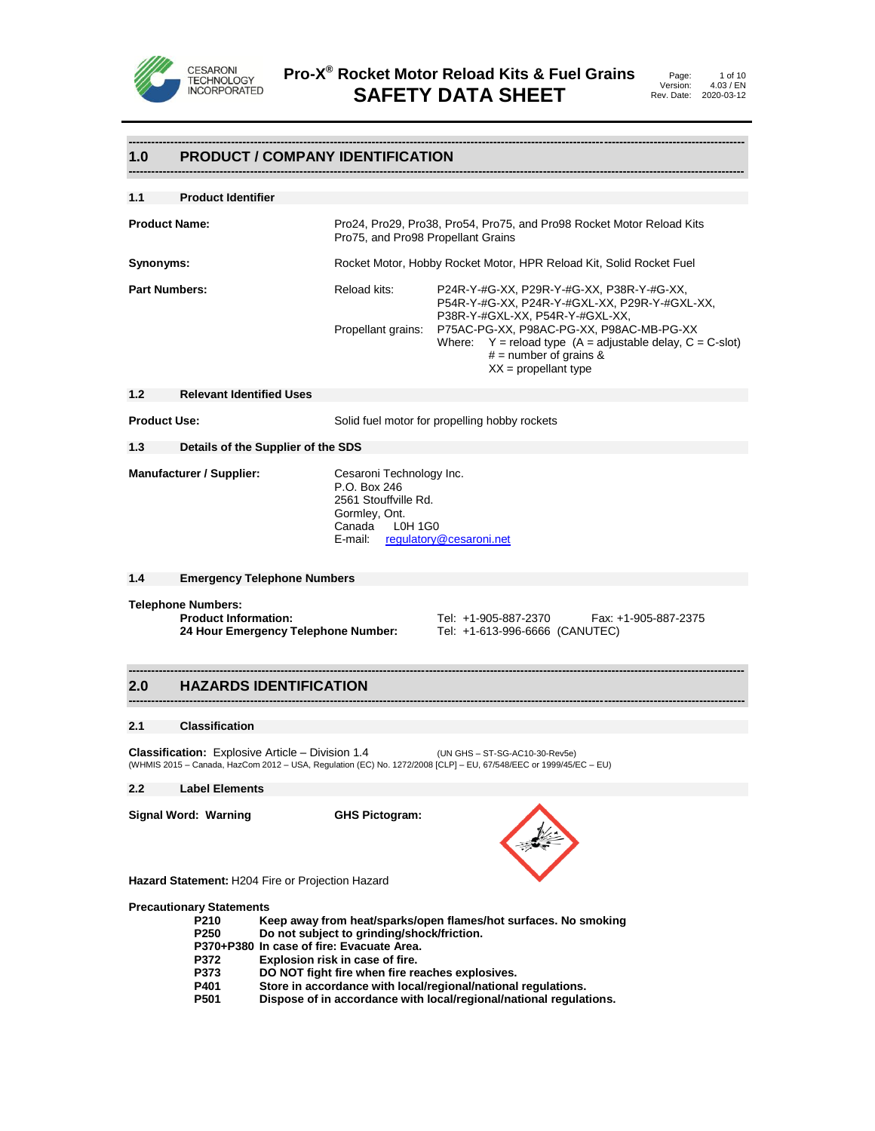

**------------------------------------------------------------------------------------------------------------------------------------------------------------------**

# **1.0 PRODUCT / COMPANY IDENTIFICATION**

| 1.1<br><b>Product Identifier</b> |                                                                                                             |                                                                                                                                                                    |  |
|----------------------------------|-------------------------------------------------------------------------------------------------------------|--------------------------------------------------------------------------------------------------------------------------------------------------------------------|--|
| <b>Product Name:</b>             | Pro24, Pro29, Pro38, Pro54, Pro75, and Pro98 Rocket Motor Reload Kits<br>Pro75, and Pro98 Propellant Grains |                                                                                                                                                                    |  |
| Synonyms:                        | Rocket Motor, Hobby Rocket Motor, HPR Reload Kit, Solid Rocket Fuel                                         |                                                                                                                                                                    |  |
| <b>Part Numbers:</b>             | Reload kits:                                                                                                | P24R-Y-#G-XX, P29R-Y-#G-XX, P38R-Y-#G-XX,<br>P54R-Y-#G-XX, P24R-Y-#GXL-XX, P29R-Y-#GXL-XX,<br>P38R-Y-#GXL-XX, P54R-Y-#GXL-XX,                                      |  |
|                                  | Propellant grains:                                                                                          | P75AC-PG-XX, P98AC-PG-XX, P98AC-MB-PG-XX<br>Where: $Y =$ reload type $(A =$ adjustable delay, $C = C$ -slot)<br>$#$ = number of grains &<br>$XX =$ propellant type |  |

# **1.2 Relevant Identified Uses**

**Product Use:** Solid fuel motor for propelling hobby rockets

# **1.3 Details of the Supplier of the SDS**

**Manufacturer / Supplier:** Cesaroni Technology Inc.

P.O. Box 246 2561 Stouffville Rd. Gormley, Ont. Canada L0H 1G0 E-mail: [regulatory@cesaroni.net](mailto:regulatory@cesaroni.net)

**------------------------------------------------------------------------------------------------------------------------------------------------------------------**

**------------------------------------------------------------------------------------------------------------------------------------------------------------------**

**1.4 Emergency Telephone Numbers**

**Telephone Numbers:**

**24 Hour Emergency Telephone Number:** 

**Product Information:** Tel: +1-905-887-2370 Fax: +1-905-887-2375<br>**24 Hour Emergency Telephone Number:** Tel: +1-613-996-6666 (CANUTEC)

# **2.0 HAZARDS IDENTIFICATION**

#### **2.1 Classification**

**Classification:** Explosive Article – Division 1.4 (UN GHS – ST-SG-AC10-30-Rev5e) (WHMIS 2015 – Canada, HazCom 2012 – USA, Regulation (EC) No. 1272/2008 [CLP] – EU, 67/548/EEC or 1999/45/EC – EU)

#### **2.2 Label Elements**

**Signal Word: Warning GHS Pictogram:**



**Hazard Statement:** H204 Fire or Projection Hazard

#### **Precautionary Statements**

| P210             | Keep away from heat/sparks/open flames/hot surfaces. No smoking    |
|------------------|--------------------------------------------------------------------|
| P <sub>250</sub> | Do not subject to grinding/shock/friction.                         |
|                  | P370+P380 In case of fire: Evacuate Area.                          |
| P372             | Explosion risk in case of fire.                                    |
| <b>P373</b>      | DO NOT fight fire when fire reaches explosives.                    |
| P401             | Store in accordance with local/regional/national regulations.      |
| P501             | Dispose of in accordance with local/regional/national regulations. |
|                  |                                                                    |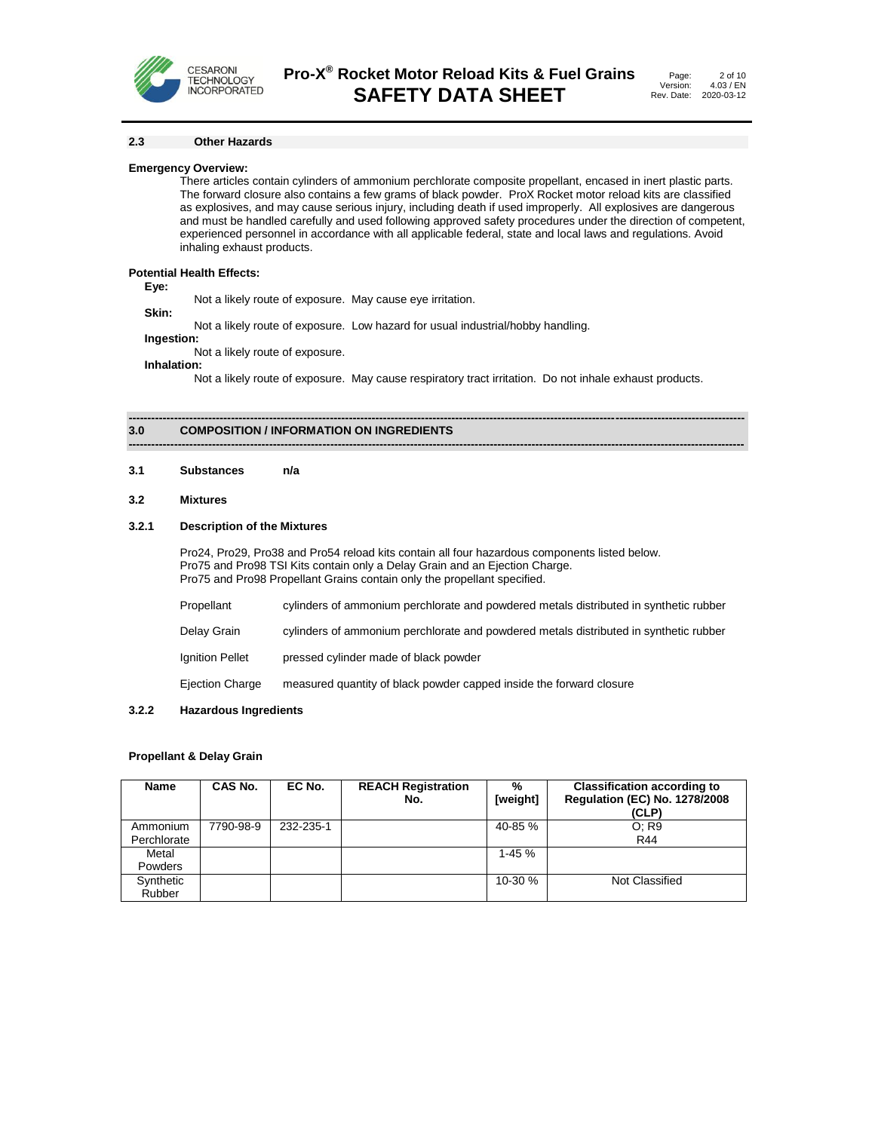

#### **2.3 Other Hazards**

#### **Emergency Overview:**

There articles contain cylinders of ammonium perchlorate composite propellant, encased in inert plastic parts. The forward closure also contains a few grams of black powder. ProX Rocket motor reload kits are classified as explosives, and may cause serious injury, including death if used improperly. All explosives are dangerous and must be handled carefully and used following approved safety procedures under the direction of competent, experienced personnel in accordance with all applicable federal, state and local laws and regulations. Avoid inhaling exhaust products.

# **Potential Health Effects:**

**Eye:**

Not a likely route of exposure. May cause eye irritation.

**Skin:**

Not a likely route of exposure. Low hazard for usual industrial/hobby handling.

**Ingestion:**

Not a likely route of exposure.

**Inhalation:**

Not a likely route of exposure. May cause respiratory tract irritation. Do not inhale exhaust products.

**------------------------------------------------------------------------------------------------------------------------------------------------------------------**

#### **------------------------------------------------------------------------------------------------------------------------------------------------------------------ 3.0 COMPOSITION / INFORMATION ON INGREDIENTS**

#### **3.1 Substances n/a**

#### **3.2 Mixtures**

#### **3.2.1 Description of the Mixtures**

Pro24, Pro29, Pro38 and Pro54 reload kits contain all four hazardous components listed below. Pro75 and Pro98 TSI Kits contain only a Delay Grain and an Ejection Charge. Pro75 and Pro98 Propellant Grains contain only the propellant specified.

| Propellant      | cylinders of ammonium perchlorate and powdered metals distributed in synthetic rubber |
|-----------------|---------------------------------------------------------------------------------------|
| Delay Grain     | cylinders of ammonium perchlorate and powdered metals distributed in synthetic rubber |
| Ignition Pellet | pressed cylinder made of black powder                                                 |
| Ejection Charge | measured quantity of black powder capped inside the forward closure                   |

### **3.2.2 Hazardous Ingredients**

#### **Propellant & Delay Grain**

| Name                    | CAS No.   | EC No.    | <b>REACH Registration</b><br>No. | %<br>[weight] | <b>Classification according to</b><br><b>Requlation (EC) No. 1278/2008</b><br>(CLP) |
|-------------------------|-----------|-----------|----------------------------------|---------------|-------------------------------------------------------------------------------------|
| Ammonium<br>Perchlorate | 7790-98-9 | 232-235-1 |                                  | $40 - 85 \%$  | O: R9<br>R44                                                                        |
| Metal<br><b>Powders</b> |           |           |                                  | $1-45%$       |                                                                                     |
| Synthetic<br>Rubber     |           |           |                                  | $10-30%$      | Not Classified                                                                      |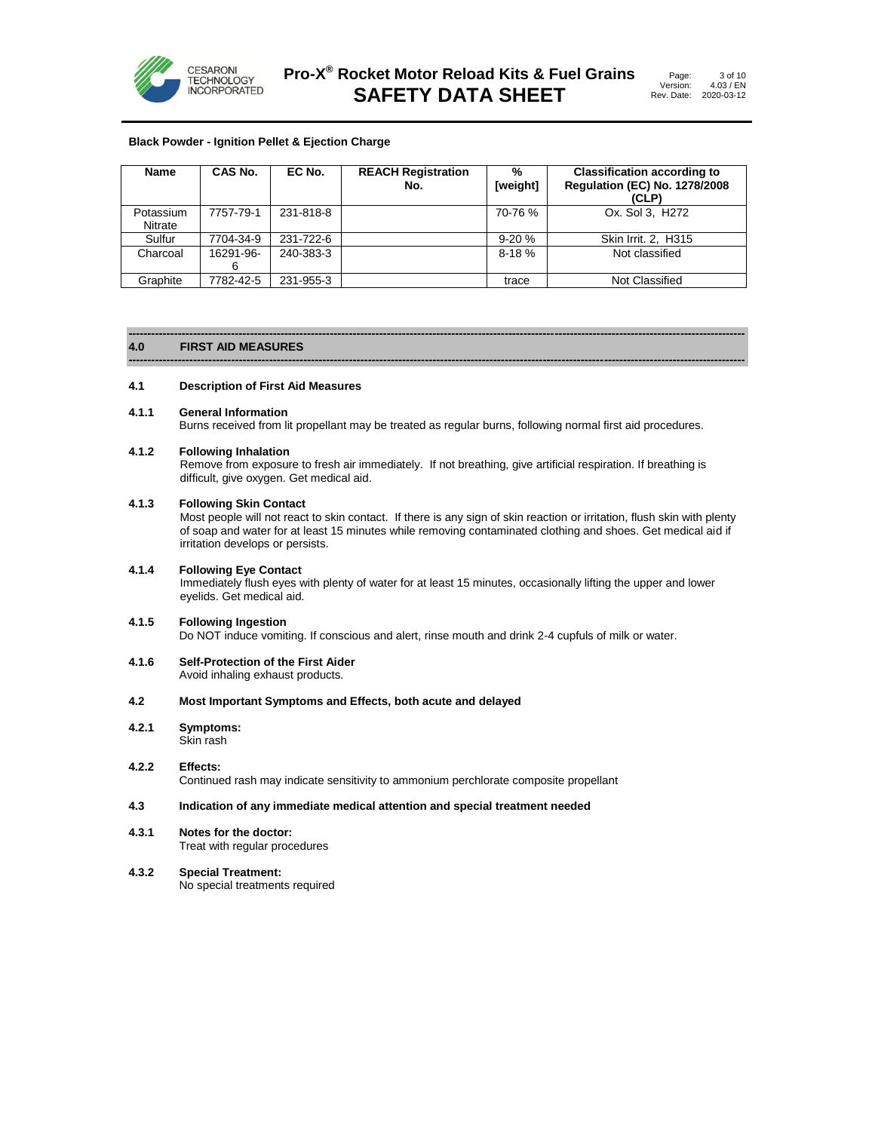

#### **Black Powder - Ignition Pellet & Ejection Charge**

| <b>Name</b>          | CAS No.        | EC No.    | <b>REACH Registration</b><br>No. | $\%$<br>[weight] | <b>Classification according to</b><br><b>Regulation (EC) No. 1278/2008</b><br>(CLP) |
|----------------------|----------------|-----------|----------------------------------|------------------|-------------------------------------------------------------------------------------|
| Potassium<br>Nitrate | 7757-79-1      | 231-818-8 |                                  | 70-76 %          | Ox. Sol 3. H <sub>272</sub>                                                         |
| Sulfur               | 7704-34-9      | 231-722-6 |                                  | $9-20%$          | Skin Irrit. 2, H315                                                                 |
| Charcoal             | 16291-96-<br>6 | 240-383-3 |                                  | $8 - 18%$        | Not classified                                                                      |
| Graphite             | 7782-42-5      | 231-955-3 |                                  | trace            | Not Classified                                                                      |

#### **------------------------------------------------------------------------------------------------------------------------------------------------------------------ 4.0 FIRST AID MEASURES**

#### **4.1 Description of First Aid Measures**

#### **4.1.1 General Information**

Burns received from lit propellant may be treated as regular burns, following normal first aid procedures.

**------------------------------------------------------------------------------------------------------------------------------------------------------------------**

#### **4.1.2 Following Inhalation**

Remove from exposure to fresh air immediately. If not breathing, give artificial respiration. If breathing is difficult, give oxygen. Get medical aid.

#### **4.1.3 Following Skin Contact**

Most people will not react to skin contact. If there is any sign of skin reaction or irritation, flush skin with plenty of soap and water for at least 15 minutes while removing contaminated clothing and shoes. Get medical aid if irritation develops or persists.

#### **4.1.4 Following Eye Contact**

Immediately flush eyes with plenty of water for at least 15 minutes, occasionally lifting the upper and lower eyelids. Get medical aid.

#### **4.1.5 Following Ingestion**

Do NOT induce vomiting. If conscious and alert, rinse mouth and drink 2-4 cupfuls of milk or water.

#### **4.1.6 Self-Protection of the First Aider** Avoid inhaling exhaust products.

#### **4.2 Most Important Symptoms and Effects, both acute and delayed**

**4.2.1 Symptoms:** Skin rash

#### **4.2.2 Effects:** Continued rash may indicate sensitivity to ammonium perchlorate composite propellant

#### **4.3 Indication of any immediate medical attention and special treatment needed**

# **4.3.1 Notes for the doctor:**

Treat with regular procedures

# **4.3.2 Special Treatment:**

No special treatments required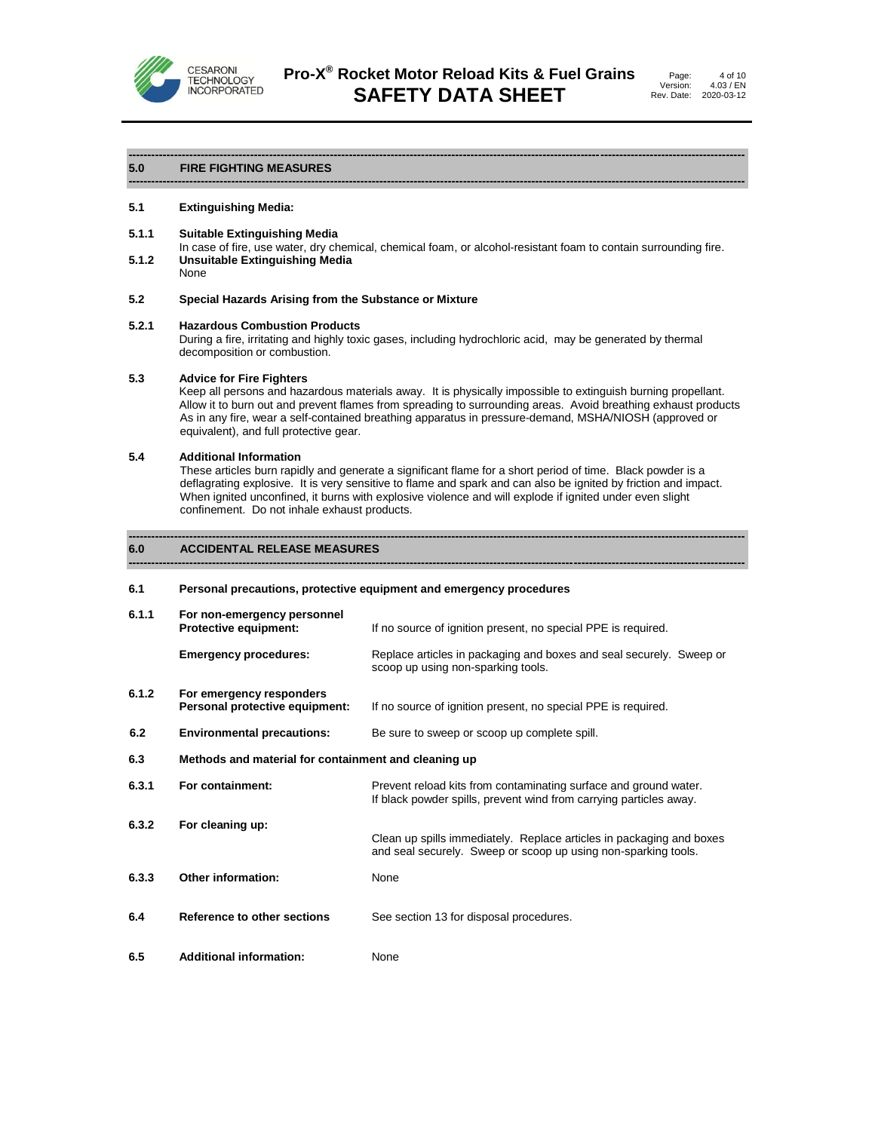

#### **5.0 FIRE FIGHTING MEASURES**

#### **5.1 Extinguishing Media:**

#### **5.1.1 Suitable Extinguishing Media**

In case of fire, use water, dry chemical, chemical foam, or alcohol-resistant foam to contain surrounding fire. **5.1.2 Unsuitable Extinguishing Media** None

**------------------------------------------------------------------------------------------------------------------------------------------------------------------**

**------------------------------------------------------------------------------------------------------------------------------------------------------------------**

#### **5.2 Special Hazards Arising from the Substance or Mixture**

#### **5.2.1 Hazardous Combustion Products**

During a fire, irritating and highly toxic gases, including hydrochloric acid, may be generated by thermal decomposition or combustion.

#### **5.3 Advice for Fire Fighters**

Keep all persons and hazardous materials away. It is physically impossible to extinguish burning propellant. Allow it to burn out and prevent flames from spreading to surrounding areas. Avoid breathing exhaust products As in any fire, wear a self-contained breathing apparatus in pressure-demand, MSHA/NIOSH (approved or equivalent), and full protective gear.

#### **5.4 Additional Information**

These articles burn rapidly and generate a significant flame for a short period of time. Black powder is a deflagrating explosive. It is very sensitive to flame and spark and can also be ignited by friction and impact. When ignited unconfined, it burns with explosive violence and will explode if ignited under even slight confinement. Do not inhale exhaust products.

**------------------------------------------------------------------------------------------------------------------------------------------------------------------**

**------------------------------------------------------------------------------------------------------------------------------------------------------------------**

#### **6.0 ACCIDENTAL RELEASE MEASURES**

#### **6.1 Personal precautions, protective equipment and emergency procedures**

| 6.1.1 | For non-emergency personnel<br><b>Protective equipment:</b> | If no source of ignition present, no special PPE is required.                                                                          |  |
|-------|-------------------------------------------------------------|----------------------------------------------------------------------------------------------------------------------------------------|--|
|       | <b>Emergency procedures:</b>                                | Replace articles in packaging and boxes and seal securely. Sweep or<br>scoop up using non-sparking tools.                              |  |
| 6.1.2 | For emergency responders<br>Personal protective equipment:  | If no source of ignition present, no special PPE is required.                                                                          |  |
| 6.2   | <b>Environmental precautions:</b>                           | Be sure to sweep or scoop up complete spill.                                                                                           |  |
| 6.3   | Methods and material for containment and cleaning up        |                                                                                                                                        |  |
| 6.3.1 | For containment:                                            | Prevent reload kits from contaminating surface and ground water.<br>If black powder spills, prevent wind from carrying particles away. |  |
| 6.3.2 | For cleaning up:                                            | Clean up spills immediately. Replace articles in packaging and boxes<br>and seal securely. Sweep or scoop up using non-sparking tools. |  |
| 6.3.3 | <b>Other information:</b>                                   | None                                                                                                                                   |  |
| 6.4   | Reference to other sections                                 | See section 13 for disposal procedures.                                                                                                |  |
| 6.5   | <b>Additional information:</b>                              | None                                                                                                                                   |  |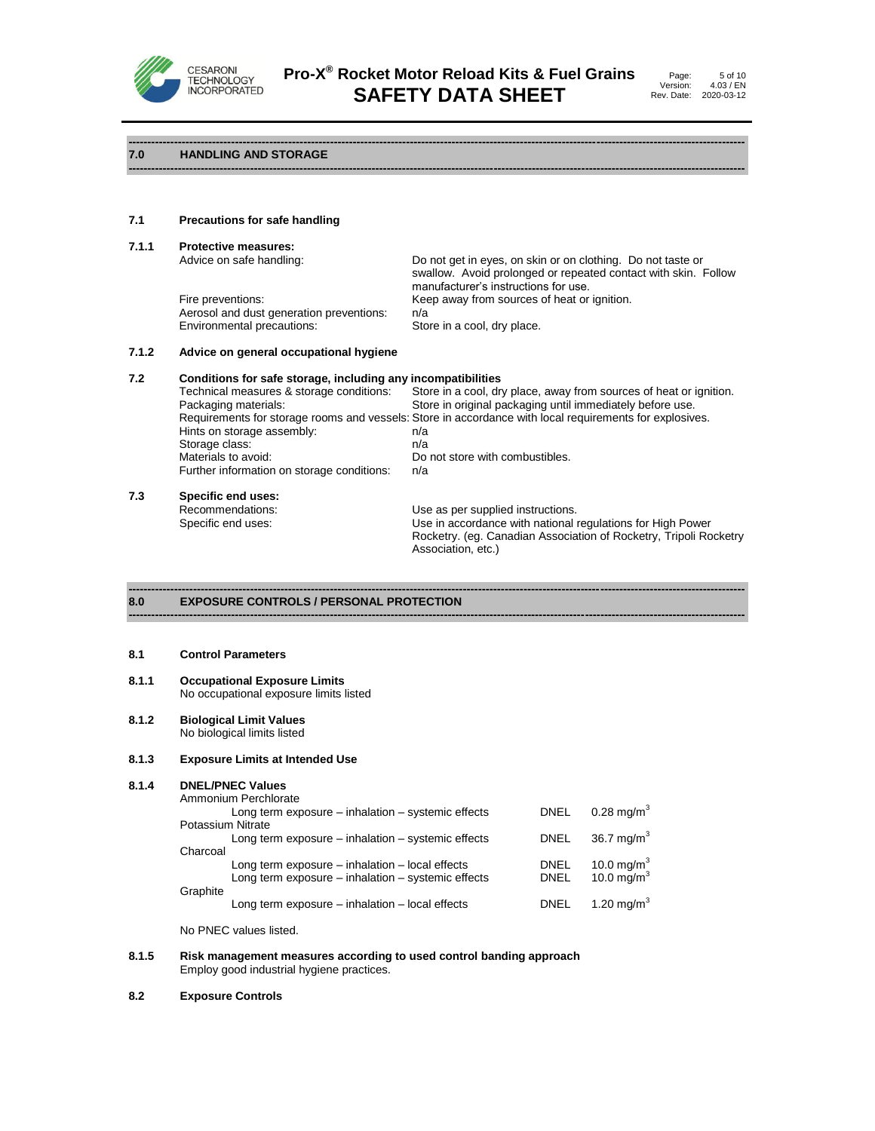

**------------------------------------------------------------------------------------------------------------------------------------------------------------------**

# **7.0 HANDLING AND STORAGE**

# **7.1 Precautions for safe handling**

**7.1.1 Protective measures:** Do not get in eyes, on skin or on clothing. Do not taste or swallow. Avoid prolonged or repeated contact with skin. Follow manufacturer's instructions for use. Fire preventions: **Keep away from sources of heat or ignition.** Aerosol and dust generation preventions: n/a Environmental precautions: Store in a cool, dry place.

# **7.1.2 Advice on general occupational hygiene**

# **7.2 Conditions for safe storage, including any incompatibilities** Store in a cool, dry place, away from sources of heat or ignition.

|     | Packaging materials:                       | Store in original packaging until immediately before use.                                               |
|-----|--------------------------------------------|---------------------------------------------------------------------------------------------------------|
|     |                                            | Requirements for storage rooms and vessels: Store in accordance with local requirements for explosives. |
|     | Hints on storage assembly:                 | n/a                                                                                                     |
|     | Storage class:                             | n/a                                                                                                     |
|     | Materials to avoid:                        | Do not store with combustibles.                                                                         |
|     | Further information on storage conditions: | n/a                                                                                                     |
| 7.3 | Specific end uses:                         |                                                                                                         |
|     | Recommendations:                           | Use as per supplied instructions.                                                                       |
|     | Specific end uses:                         | Use in accordance with national regulations for High Power                                              |
|     |                                            | Rocketry. (eq. Canadian Association of Rocketry, Tripoli Rocketry                                       |

**------------------------------------------------------------------------------------------------------------------------------------------------------------------**

Association, etc.)

#### **------------------------------------------------------------------------------------------------------------------------------------------------------------------ 8.0 EXPOSURE CONTROLS / PERSONAL PROTECTION**

#### **8.1 Control Parameters**

#### **8.1.1 Occupational Exposure Limits** No occupational exposure limits listed

#### **8.1.2 Biological Limit Values** No biological limits listed

#### **8.1.3 Exposure Limits at Intended Use**

# **8.1.4 DNEL/PNEC Values**

|                   | Ammonium Perchlorate                                   |             |                        |
|-------------------|--------------------------------------------------------|-------------|------------------------|
|                   | Long term exposure $-$ inhalation $-$ systemic effects | <b>DNEL</b> | $0.28 \text{ mg/m}^3$  |
| Potassium Nitrate |                                                        |             |                        |
|                   | Long term exposure - inhalation - systemic effects     | <b>DNEL</b> | 36.7 mg/m <sup>3</sup> |
| Charcoal          |                                                        |             |                        |
|                   | Long term exposure - inhalation - local effects        | <b>DNEL</b> | 10.0 mg/m <sup>3</sup> |
|                   | Long term exposure – inhalation – systemic effects     | <b>DNEL</b> | 10.0 $mg/m3$           |
| Graphite          |                                                        |             |                        |
|                   | Long term exposure $-$ inhalation $-$ local effects    | DNEL        | 1.20 mg/m <sup>3</sup> |
|                   |                                                        |             |                        |

No PNEC values listed.

#### **8.1.5 Risk management measures according to used control banding approach** Employ good industrial hygiene practices.

#### **8.2 Exposure Controls**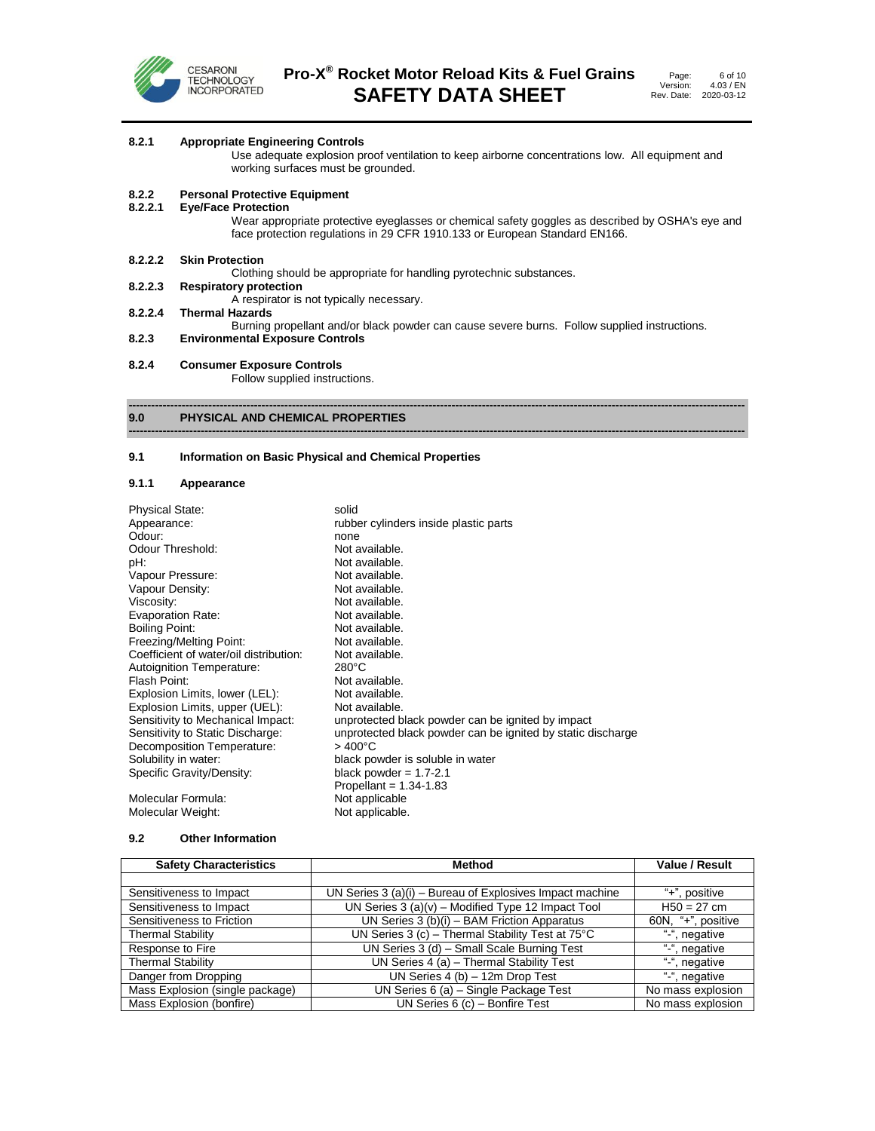

# **8.2.1 Appropriate Engineering Controls**

Use adequate explosion proof ventilation to keep airborne concentrations low. All equipment and working surfaces must be grounded.

# **8.2.2 Personal Protective Equipment**

**8.2.2.1 Eye/Face Protection**

Wear appropriate protective eyeglasses or chemical safety goggles as described by OSHA's eye and face protection regulations in 29 CFR 1910.133 or European Standard EN166.

**8.2.2.2 Skin Protection**

Clothing should be appropriate for handling pyrotechnic substances.<br>8.2.2.3 Respiratory protection

**8.2.2.3 Respiratory protection**

A respirator is not typically necessary.

- **8.2.2.4 Thermal Hazards**
- Burning propellant and/or black powder can cause severe burns. Follow supplied instructions.

**------------------------------------------------------------------------------------------------------------------------------------------------------------------**

- **8.2.3 Environmental Exposure Controls**
- **8.2.4 Consumer Exposure Controls**

Follow supplied instructions.

#### **------------------------------------------------------------------------------------------------------------------------------------------------------------------ 9.0 PHYSICAL AND CHEMICAL PROPERTIES**

#### **9.1 Information on Basic Physical and Chemical Properties**

#### **9.1.1 Appearance**

| <b>Physical State:</b>                 | solid                                                       |
|----------------------------------------|-------------------------------------------------------------|
| Appearance:                            | rubber cylinders inside plastic parts                       |
| Odour:                                 | none                                                        |
| Odour Threshold:                       | Not available.                                              |
| pH.                                    | Not available.                                              |
| Vapour Pressure:                       | Not available.                                              |
| Vapour Density:                        | Not available.                                              |
| Viscosity:                             | Not available.                                              |
| Evaporation Rate:                      | Not available.                                              |
| Boiling Point:                         | Not available.                                              |
| Freezing/Melting Point:                | Not available.                                              |
| Coefficient of water/oil distribution: | Not available.                                              |
| Autoignition Temperature:              | $280^{\circ}$ C                                             |
| Flash Point:                           | Not available.                                              |
| Explosion Limits, lower (LEL):         | Not available.                                              |
| Explosion Limits, upper (UEL):         | Not available.                                              |
| Sensitivity to Mechanical Impact:      | unprotected black powder can be ignited by impact           |
| Sensitivity to Static Discharge:       | unprotected black powder can be ignited by static discharge |
| Decomposition Temperature:             | $>400^{\circ}$ C                                            |
| Solubility in water:                   | black powder is soluble in water                            |
| Specific Gravity/Density:              | black powder = $1.7-2.1$                                    |
|                                        | Propellant = $1.34 - 1.83$                                  |
| Molecular Formula:                     | Not applicable                                              |
| Molecular Weight:                      | Not applicable.                                             |

#### **9.2 Other Information**

| <b>Safety Characteristics</b>   | <b>Method</b>                                              | <b>Value / Result</b> |
|---------------------------------|------------------------------------------------------------|-----------------------|
|                                 |                                                            |                       |
| Sensitiveness to Impact         | UN Series 3 (a)(i) - Bureau of Explosives Impact machine   | "+", positive         |
| Sensitiveness to Impact         | UN Series $3(a)(v)$ – Modified Type 12 Impact Tool         | $H50 = 27$ cm         |
| Sensitiveness to Friction       | UN Series $3(b)(i)$ – BAM Friction Apparatus               | 60N, "+", positive    |
| <b>Thermal Stability</b>        | UN Series 3 (c) - Thermal Stability Test at $75^{\circ}$ C | "-", negative         |
| Response to Fire                | UN Series 3 (d) - Small Scale Burning Test                 | "-", negative         |
| <b>Thermal Stability</b>        | UN Series 4 (a) - Thermal Stability Test                   | "-", negative         |
| Danger from Dropping            | UN Series $4(b) - 12m$ Drop Test                           | "-", negative         |
| Mass Explosion (single package) | UN Series 6 (a) - Single Package Test                      | No mass explosion     |
| Mass Explosion (bonfire)        | UN Series $6$ (c) - Bonfire Test                           | No mass explosion     |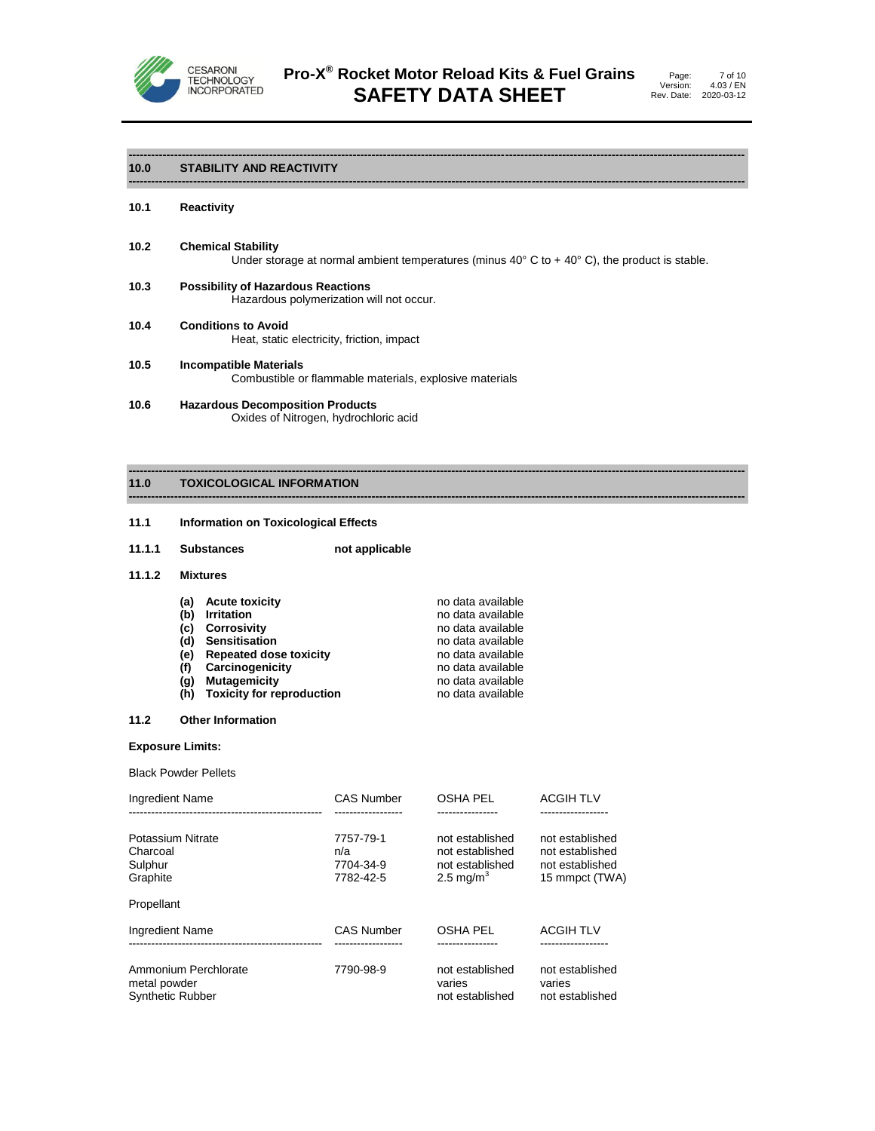

# **10.0 STABILITY AND REACTIVITY**

- **10.1 Reactivity**
- **10.2 Chemical Stability** Under storage at normal ambient temperatures (minus 40 $^{\circ}$  C to + 40 $^{\circ}$  C), the product is stable.

**------------------------------------------------------------------------------------------------------------------------------------------------------------------**

**------------------------------------------------------------------------------------------------------------------------------------------------------------------**

**------------------------------------------------------------------------------------------------------------------------------------------------------------------**

- **10.3 Possibility of Hazardous Reactions** Hazardous polymerization will not occur.
- **10.4 Conditions to Avoid** Heat, static electricity, friction, impact
- **10.5 Incompatible Materials** Combustible or flammable materials, explosive materials
- **10.6 Hazardous Decomposition Products** Oxides of Nitrogen, hydrochloric acid

#### **------------------------------------------------------------------------------------------------------------------------------------------------------------------ 11.0 TOXICOLOGICAL INFORMATION**

- **11.1 Information on Toxicological Effects**
- **11.1.1 Substances not applicable**

#### **11.1.2 Mixtures**

| (a) | <b>Acute toxicity</b>            | no data available |
|-----|----------------------------------|-------------------|
| (b) | <b>Irritation</b>                | no data available |
| (c) | <b>Corrosivity</b>               | no data available |
|     | (d) Sensitisation                | no data available |
| (e) | <b>Repeated dose toxicity</b>    | no data available |
| (f) | Carcinogenicity                  | no data available |
| (q) | <b>Mutagemicity</b>              | no data available |
| (h) | <b>Toxicity for reproduction</b> | no data available |

#### **11.2 Other Information**

#### **Exposure Limits:**

Black Powder Pellets

| Ingredient Name                                                 | <b>CAS Number</b>                          | <b>OSHA PEL</b>                                                                | <b>ACGIH TLV</b>                                                        |
|-----------------------------------------------------------------|--------------------------------------------|--------------------------------------------------------------------------------|-------------------------------------------------------------------------|
| Potassium Nitrate<br>Charcoal<br>Sulphur<br>Graphite            | 7757-79-1<br>n/a<br>7704-34-9<br>7782-42-5 | not established<br>not established<br>not established<br>2.5 mg/m <sup>3</sup> | not established<br>not established<br>not established<br>15 mmpct (TWA) |
| Propellant                                                      |                                            |                                                                                |                                                                         |
| <b>Ingredient Name</b>                                          | <b>CAS Number</b>                          | <b>OSHA PEL</b>                                                                | <b>ACGIH TLV</b>                                                        |
| Ammonium Perchlorate<br>metal powder<br><b>Synthetic Rubber</b> | 7790-98-9                                  | not established<br>varies<br>not established                                   | not established<br>varies<br>not established                            |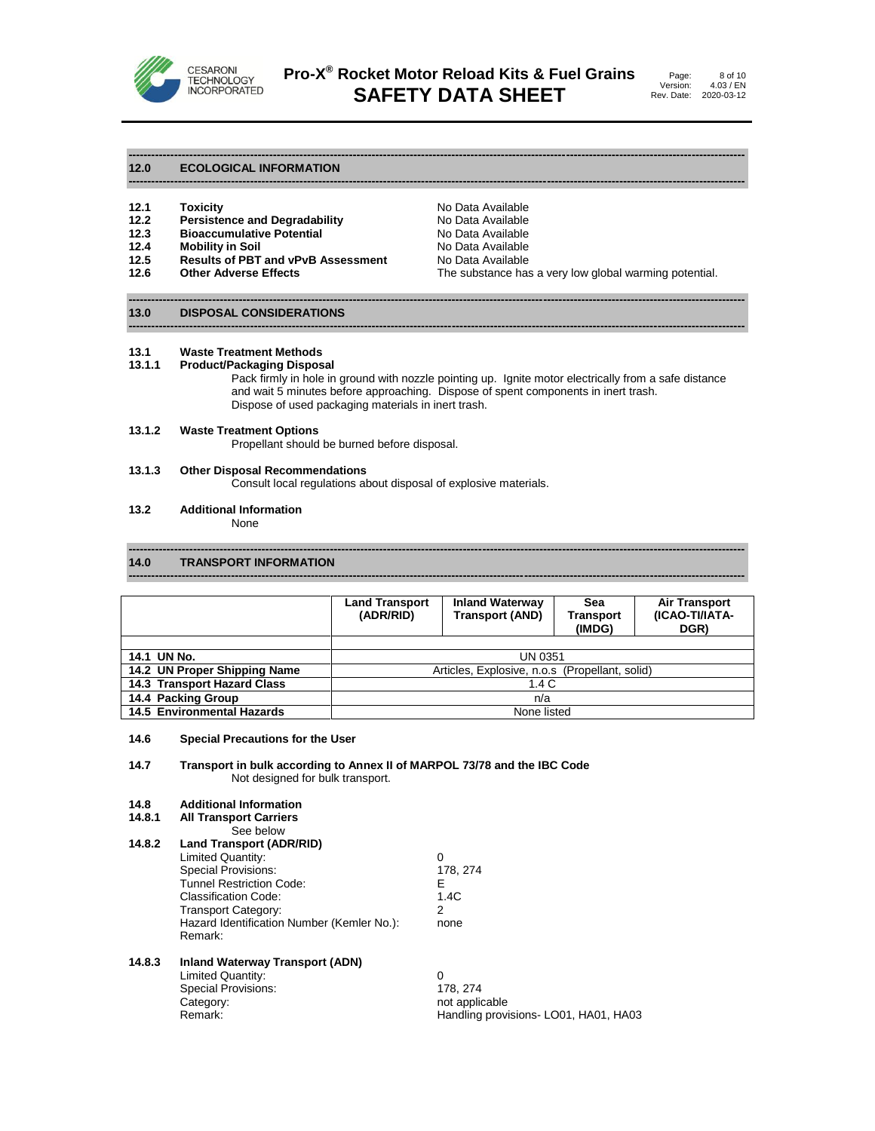

**------------------------------------------------------------------------------------------------------------------------------------------------------------------**

**------------------------------------------------------------------------------------------------------------------------------------------------------------------**

Page: Version: Rev. Date: 4.03 / EN 2020-03-12 8 of 10

#### **12.0 ECOLOGICAL INFORMATION**

- **12.2 Persistence and Degradability** No Data Available
- **12.3 Bioaccumulative Potential**<br>**12.4 Mobility in Soil**
- 
- **12.4 Mobility in Soil 12.4 Mobility in Soil**<br>**12.5 Results of PBT and vPvB Assessment** No Data Available **Results of PBT and vPvB Assessment**<br>Other Adverse Effects
- 

**12.1 Toxicity Communisty Communisty Communisty Communisty Communisty Press, 2016<br><b>12.2 Persistence and Degradability Communisty Communisty Communisty** No Data Available **12.6 Other Adverse Effects** The substance has a very low global warming potential.

#### **------------------------------------------------------------------------------------------------------------------------------------------------------------------ 13.0 DISPOSAL CONSIDERATIONS**

#### **13.1 Waste Treatment Methods**

#### **13.1.1 Product/Packaging Disposal**

Pack firmly in hole in ground with nozzle pointing up. Ignite motor electrically from a safe distance and wait 5 minutes before approaching. Dispose of spent components in inert trash. Dispose of used packaging materials in inert trash.

#### **13.1.2 Waste Treatment Options**

Propellant should be burned before disposal.

# **13.1.3 Other Disposal Recommendations**

Consult local regulations about disposal of explosive materials.

# **13.2 Additional Information**

None

#### **------------------------------------------------------------------------------------------------------------------------------------------------------------------ 14.0 TRANSPORT INFORMATION**

|                                   | <b>Land Transport</b><br>(ADR/RID)             | <b>Inland Waterway</b><br><b>Transport (AND)</b> | Sea<br><b>Transport</b><br>(IMDG) | <b>Air Transport</b><br>(ICAO-TI/IATA-<br>DGR) |
|-----------------------------------|------------------------------------------------|--------------------------------------------------|-----------------------------------|------------------------------------------------|
|                                   |                                                |                                                  |                                   |                                                |
| 14.1 UN No.                       | UN 0351                                        |                                                  |                                   |                                                |
| 14.2 UN Proper Shipping Name      | Articles, Explosive, n.o.s (Propellant, solid) |                                                  |                                   |                                                |
| 14.3 Transport Hazard Class       | 1.4 C                                          |                                                  |                                   |                                                |
| 14.4 Packing Group                | n/a                                            |                                                  |                                   |                                                |
| <b>14.5 Environmental Hazards</b> | None listed                                    |                                                  |                                   |                                                |

**------------------------------------------------------------------------------------------------------------------------------------------------------------------**

#### **14.6 Special Precautions for the User**

#### **14.7 Transport in bulk according to Annex II of MARPOL 73/78 and the IBC Code** Not designed for bulk transport.

#### **14.8 Additional Information**

Remark:

| 14.8.1 | <b>All Transport Carriers</b> |  |
|--------|-------------------------------|--|
|--------|-------------------------------|--|

- See below
- **14.8.2 Land Transport (ADR/RID)**

Transport Category: 2

- Limited Quantity:  $\begin{array}{ccc} 0 & 0 & 0 \\ 0 & 0 & 178,274 \end{array}$ Special Provisions: Tunnel Restriction Code: E
- Classification Code: 1.4C<br>Transport Category: 1.4C

Hazard Identification Number (Kemler No.): none

#### **14.8.3 Inland Waterway Transport (ADN)**

Limited Quantity:  $\begin{array}{ccc} 0 & 0 \\ 0 & 178,274 \end{array}$ Special Provisions: Category:<br>
Remark: Notable Beautiful Contract and the Handling provi<br>
Remark: Handling provisions- LO01, HA01, HA03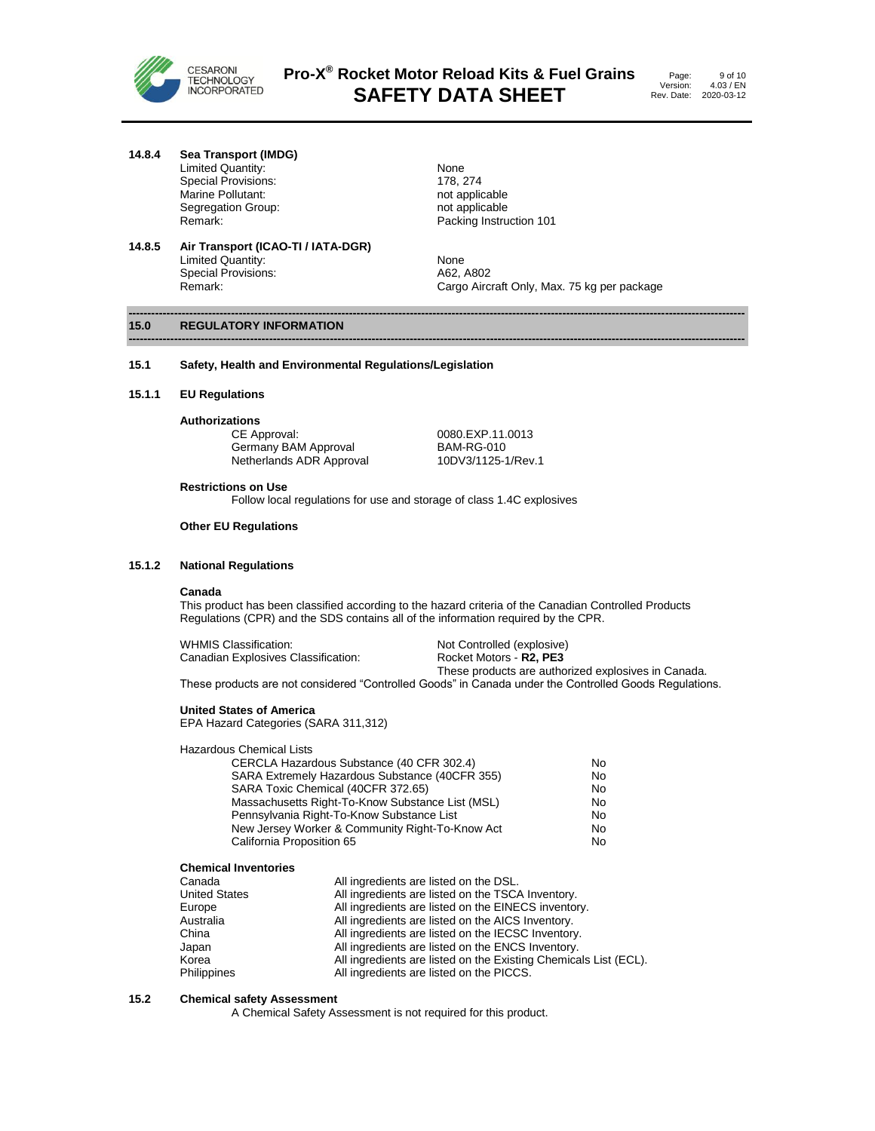

Page: Version: Rev. Date: 2020-03-12 9 of 10 4.03 / EN

**14.8.4 Sea Transport (IMDG)**

Limited Quantity:<br>
Special Provisions:<br>
178, 274 Special Provisions: 178, 274 Marine Pollutant:<br>
Segregation Group:<br>
Segregation Group:<br>
not applicable Segregation Group:<br>Remark:

**14.8.5 Air Transport (ICAO-TI / IATA-DGR)** Limited Quantity:<br>
Special Provisions:<br>
A62, A802 Special Provisions:<br>Remark:

Packing Instruction 101

Cargo Aircraft Only, Max. 75 kg per package

#### **------------------------------------------------------------------------------------------------------------------------------------------------------------------ 15.0 REGULATORY INFORMATION**

#### **15.1 Safety, Health and Environmental Regulations/Legislation**

**15.1.1 EU Regulations**

**Authorizations**

Germany BAM Approval BAM-RG-010<br>Netherlands ADR Approval 10DV3/1125-1/Rev.1 Netherlands ADR Approval

0080.EXP.11.0013

#### **Restrictions on Use**

Follow local regulations for use and storage of class 1.4C explosives

#### **Other EU Regulations**

# **15.1.2 National Regulations**

#### **Canada**

This product has been classified according to the hazard criteria of the Canadian Controlled Products Regulations (CPR) and the SDS contains all of the information required by the CPR.

**------------------------------------------------------------------------------------------------------------------------------------------------------------------**

| WHMIS Classification:               | Not Controlled (explosive)                          |
|-------------------------------------|-----------------------------------------------------|
| Canadian Explosives Classification: | Rocket Motors - <b>R2. PE3</b>                      |
|                                     | These products are authorized explosives in Canada. |

These products are not considered "Controlled Goods" in Canada under the Controlled Goods Regulations.

# **United States of America**

EPA Hazard Categories (SARA 311,312)

#### Hazardous Chemical Lists

| CERCLA Hazardous Substance (40 CFR 302.4)        | No |
|--------------------------------------------------|----|
| SARA Extremely Hazardous Substance (40CFR 355)   | No |
| SARA Toxic Chemical (40CFR 372.65)               | No |
| Massachusetts Right-To-Know Substance List (MSL) | No |
| Pennsylvania Right-To-Know Substance List        | No |
| New Jersey Worker & Community Right-To-Know Act  | No |
| California Proposition 65                        | No |

#### **Chemical Inventories**

| Canada               | All ingredients are listed on the DSL.                           |
|----------------------|------------------------------------------------------------------|
| <b>United States</b> | All ingredients are listed on the TSCA Inventory.                |
| Europe               | All ingredients are listed on the EINECS inventory.              |
| Australia            | All ingredients are listed on the AICS Inventory.                |
| China                | All ingredients are listed on the IECSC Inventory.               |
| Japan                | All ingredients are listed on the ENCS Inventory.                |
| Korea                | All ingredients are listed on the Existing Chemicals List (ECL). |
| Philippines          | All ingredients are listed on the PICCS.                         |

### **15.2 Chemical safety Assessment**

A Chemical Safety Assessment is not required for this product.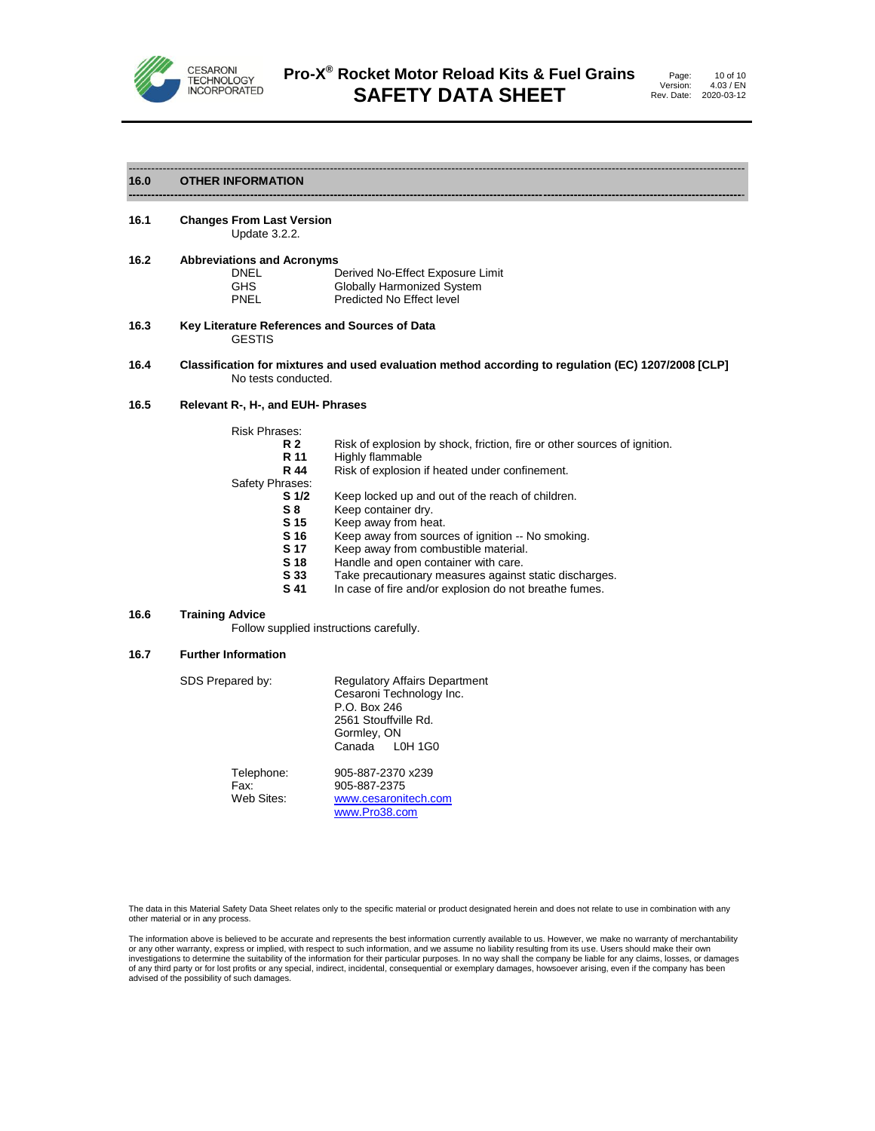

**-----------------------------------------------------------------------------------------------------------------------------------------------------------------**-

#### **16.0 OTHER INFORMATION**

#### **16.1 Changes From Last Version** Update 3.2.2.

| 16.2 | <b>Abbreviations and Acronyms</b> |                                  |
|------|-----------------------------------|----------------------------------|
|      | DNEL                              | Derived No-Effect Exposure Limit |
|      | <b>GHS</b>                        | Globally Harmonized System       |
|      | PNEL                              | Predicted No Effect level        |

- **16.3 Key Literature References and Sources of Data** GESTIS
- **16.4 Classification for mixtures and used evaluation method according to regulation (EC) 1207/2008 [CLP]** No tests conducted.

#### **16.5 Relevant R-, H-, and EUH- Phrases**

| <b>Risk Phrases:</b> |                                                                          |
|----------------------|--------------------------------------------------------------------------|
| R 2                  | Risk of explosion by shock, friction, fire or other sources of ignition. |
| R 11                 | Highly flammable                                                         |
| R 44                 | Risk of explosion if heated under confinement.                           |
| Safety Phrases:      |                                                                          |
| S 1/2                | Keep locked up and out of the reach of children.                         |
| S8                   | Keep container dry.                                                      |
| S 15                 | Keep away from heat.                                                     |
| S 16                 | Keep away from sources of ignition -- No smoking.                        |
| S 17                 | Keep away from combustible material.                                     |
| S 18                 | Handle and open container with care.                                     |
| S 33                 | Take precautionary measures against static discharges.                   |
| S 41                 | In case of fire and/or explosion do not breathe fumes.                   |

# **16.6 Training Advice** Follow supplied instructions carefully.

# **16.7 Further Information**

| SDS Prepared by:                 | <b>Regulatory Affairs Department</b><br>Cesaroni Technology Inc.<br>P.O. Box 246<br>2561 Stouffville Rd.<br>Gormley, ON<br>Canada L0H 1G0 |  |  |
|----------------------------------|-------------------------------------------------------------------------------------------------------------------------------------------|--|--|
| Telephone:<br>Fax:<br>Web Sites: | 905-887-2370 x239<br>905-887-2375<br>www.cesaronitech.com<br>www.Pro38.com                                                                |  |  |

The data in this Material Safety Data Sheet relates only to the specific material or product designated herein and does not relate to use in combination with any other material or in any process.

The information above is believed to be accurate and represents the best information currently available to us. However, we make no warranty of merchantability or any other warranty, express or implied, with respect to such information, and we assume no liability resulting from its use. Users should make their own<br>investigations to determine the suitability of the information for advised of the possibility of such damages.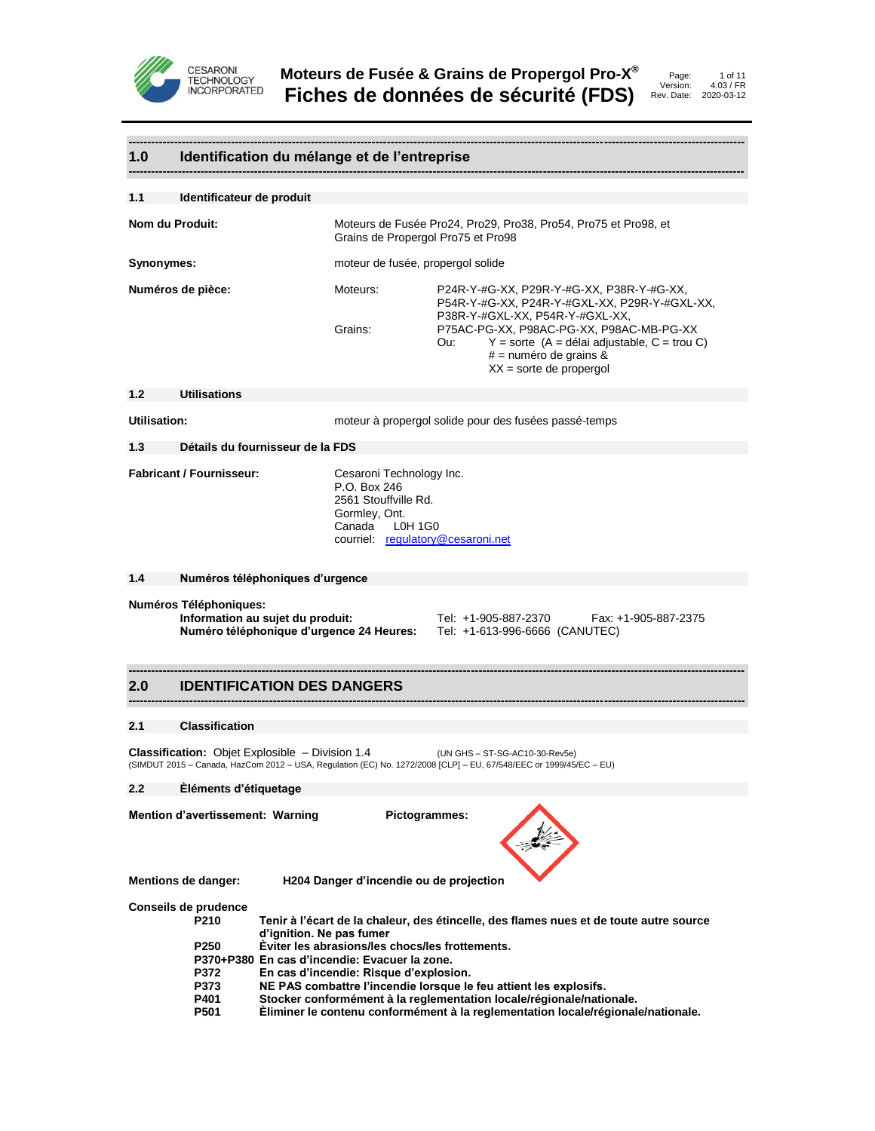



# **1.0 Identification du mélange et de l'entreprise**

| 1.1                                                                                                                                                                                   | Identificateur de produit                                                                                                                                                                                                                                                                                                                                                                                                                                                                                                                                                             |                                                                                                                                             |                                                                                                                                                                                                                                                                                             |  |  |
|---------------------------------------------------------------------------------------------------------------------------------------------------------------------------------------|---------------------------------------------------------------------------------------------------------------------------------------------------------------------------------------------------------------------------------------------------------------------------------------------------------------------------------------------------------------------------------------------------------------------------------------------------------------------------------------------------------------------------------------------------------------------------------------|---------------------------------------------------------------------------------------------------------------------------------------------|---------------------------------------------------------------------------------------------------------------------------------------------------------------------------------------------------------------------------------------------------------------------------------------------|--|--|
| Nom du Produit:                                                                                                                                                                       |                                                                                                                                                                                                                                                                                                                                                                                                                                                                                                                                                                                       | Grains de Propergol Pro75 et Pro98                                                                                                          | Moteurs de Fusée Pro24, Pro29, Pro38, Pro54, Pro75 et Pro98, et                                                                                                                                                                                                                             |  |  |
| Synonymes:                                                                                                                                                                            |                                                                                                                                                                                                                                                                                                                                                                                                                                                                                                                                                                                       |                                                                                                                                             | moteur de fusée, propergol solide                                                                                                                                                                                                                                                           |  |  |
|                                                                                                                                                                                       | Numéros de pièce:                                                                                                                                                                                                                                                                                                                                                                                                                                                                                                                                                                     | Moteurs:<br>Grains:                                                                                                                         | P24R-Y-#G-XX, P29R-Y-#G-XX, P38R-Y-#G-XX,<br>P54R-Y-#G-XX, P24R-Y-#GXL-XX, P29R-Y-#GXL-XX,<br>P38R-Y-#GXL-XX, P54R-Y-#GXL-XX,<br>P75AC-PG-XX, P98AC-PG-XX, P98AC-MB-PG-XX<br>$Y =$ sorte (A = délai adjustable, C = trou C)<br>Ou:<br>$#$ = numéro de grains &<br>$XX =$ sorte de propergol |  |  |
| 1.2                                                                                                                                                                                   | <b>Utilisations</b>                                                                                                                                                                                                                                                                                                                                                                                                                                                                                                                                                                   |                                                                                                                                             |                                                                                                                                                                                                                                                                                             |  |  |
| Utilisation:                                                                                                                                                                          |                                                                                                                                                                                                                                                                                                                                                                                                                                                                                                                                                                                       |                                                                                                                                             | moteur à propergol solide pour des fusées passé-temps                                                                                                                                                                                                                                       |  |  |
| 1.3                                                                                                                                                                                   | Détails du fournisseur de la FDS                                                                                                                                                                                                                                                                                                                                                                                                                                                                                                                                                      |                                                                                                                                             |                                                                                                                                                                                                                                                                                             |  |  |
|                                                                                                                                                                                       | <b>Fabricant / Fournisseur:</b>                                                                                                                                                                                                                                                                                                                                                                                                                                                                                                                                                       | Cesaroni Technology Inc.<br>P.O. Box 246<br>2561 Stouffville Rd.<br>Gormley, Ont.<br>Canada<br>L0H 1G0<br>courriel: regulatory@cesaroni.net |                                                                                                                                                                                                                                                                                             |  |  |
| 1.4                                                                                                                                                                                   |                                                                                                                                                                                                                                                                                                                                                                                                                                                                                                                                                                                       | Numéros téléphoniques d'urgence                                                                                                             |                                                                                                                                                                                                                                                                                             |  |  |
| Numéros Téléphoniques:<br>Information au sujet du produit:<br>Tel: +1-905-887-2370<br>Fax: +1-905-887-2375<br>Numéro téléphonique d'urgence 24 Heures: Tel: +1-613-996-6666 (CANUTEC) |                                                                                                                                                                                                                                                                                                                                                                                                                                                                                                                                                                                       |                                                                                                                                             |                                                                                                                                                                                                                                                                                             |  |  |
| 2.0                                                                                                                                                                                   |                                                                                                                                                                                                                                                                                                                                                                                                                                                                                                                                                                                       | <b>IDENTIFICATION DES DANGERS</b>                                                                                                           |                                                                                                                                                                                                                                                                                             |  |  |
| 2.1                                                                                                                                                                                   | <b>Classification</b>                                                                                                                                                                                                                                                                                                                                                                                                                                                                                                                                                                 |                                                                                                                                             |                                                                                                                                                                                                                                                                                             |  |  |
|                                                                                                                                                                                       |                                                                                                                                                                                                                                                                                                                                                                                                                                                                                                                                                                                       | <b>Classification:</b> Objet Explosible – Division 1.4                                                                                      | (UN GHS - ST-SG-AC10-30-Rev5e)<br>(SIMDUT 2015 - Canada, HazCom 2012 - USA, Regulation (EC) No. 1272/2008 [CLP] - EU, 67/548/EEC or 1999/45/EC - EU)                                                                                                                                        |  |  |
| 2.2                                                                                                                                                                                   | Eléments d'étiquetage                                                                                                                                                                                                                                                                                                                                                                                                                                                                                                                                                                 |                                                                                                                                             |                                                                                                                                                                                                                                                                                             |  |  |
|                                                                                                                                                                                       | Mention d'avertissement: Warning                                                                                                                                                                                                                                                                                                                                                                                                                                                                                                                                                      | Pictogrammes:                                                                                                                               |                                                                                                                                                                                                                                                                                             |  |  |
|                                                                                                                                                                                       | Mentions de danger:                                                                                                                                                                                                                                                                                                                                                                                                                                                                                                                                                                   | H204 Danger d'incendie ou de projection                                                                                                     |                                                                                                                                                                                                                                                                                             |  |  |
|                                                                                                                                                                                       | Conseils de prudence<br>P210<br>Tenir à l'écart de la chaleur, des étincelle, des flames nues et de toute autre source<br>d'ignition. Ne pas fumer<br>Èviter les abrasions/les chocs/les frottements.<br>P <sub>250</sub><br>P370+P380 En cas d'incendie: Evacuer la zone.<br>P372<br>En cas d'incendie: Risque d'explosion.<br>P373<br>NE PAS combattre l'incendie lorsque le feu attient les explosifs.<br>P401<br>Stocker conformément à la reglementation locale/régionale/nationale.<br>P501<br>Eliminer le contenu conformément à la reglementation locale/régionale/nationale. |                                                                                                                                             |                                                                                                                                                                                                                                                                                             |  |  |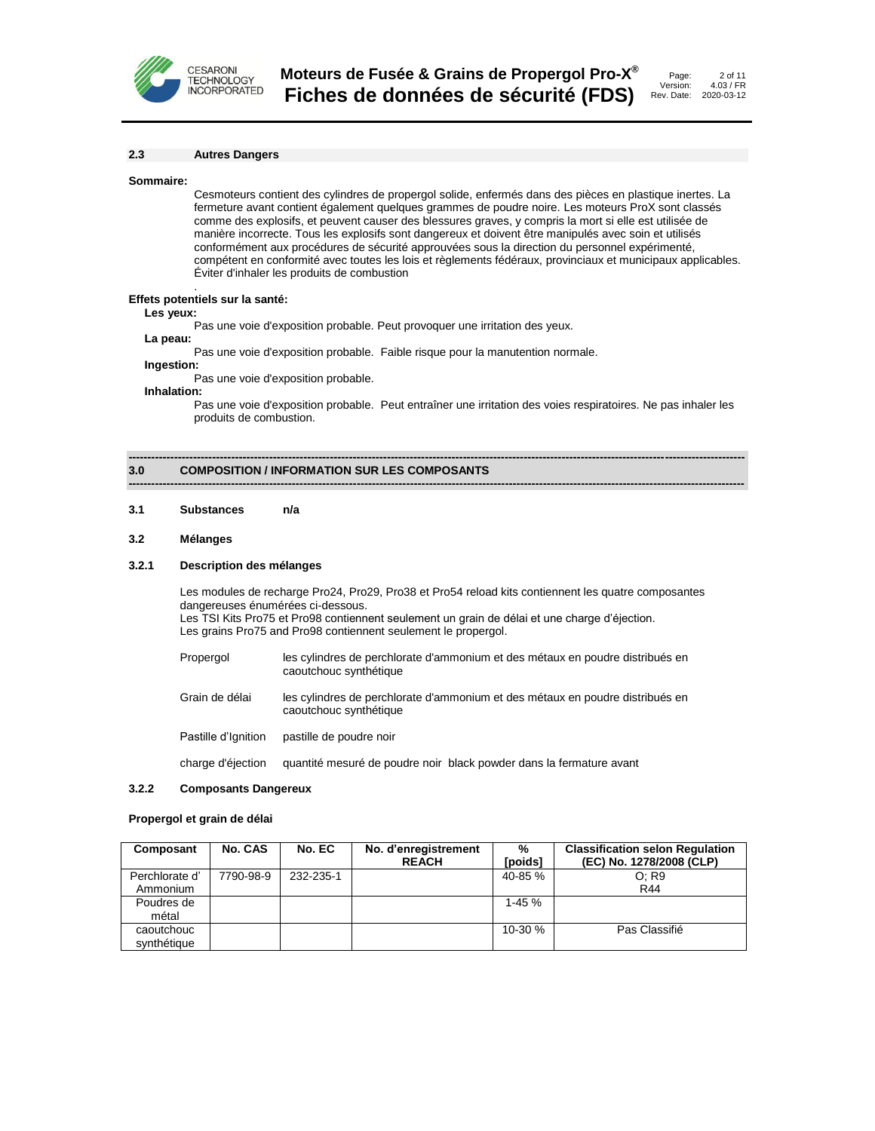

| Page:     | 2 of 11    |
|-----------|------------|
| Version:  | 4.03 / FR  |
| ev. Date: | 2020-03-12 |

#### **2.3 Autres Dangers**

#### **Sommaire:**

Cesmoteurs contient des cylindres de propergol solide, enfermés dans des pièces en plastique inertes. La fermeture avant contient également quelques grammes de poudre noire. Les moteurs ProX sont classés comme des explosifs, et peuvent causer des blessures graves, y compris la mort si elle est utilisée de manière incorrecte. Tous les explosifs sont dangereux et doivent être manipulés avec soin et utilisés conformément aux procédures de sécurité approuvées sous la direction du personnel expérimenté, compétent en conformité avec toutes les lois et règlements fédéraux, provinciaux et municipaux applicables. Éviter d'inhaler les produits de combustion

#### . **Effets potentiels sur la santé:**

#### **Les yeux:**

Pas une voie d'exposition probable. Peut provoquer une irritation des yeux.

# **La peau:**

Pas une voie d'exposition probable. Faible risque pour la manutention normale.

#### **Ingestion:**

Pas une voie d'exposition probable.

#### **Inhalation:**

Pas une voie d'exposition probable. Peut entraîner une irritation des voies respiratoires. Ne pas inhaler les produits de combustion.

**------------------------------------------------------------------------------------------------------------------------------------------------------------------**

**------------------------------------------------------------------------------------------------------------------------------------------------------------------**

#### **3.0 COMPOSITION / INFORMATION SUR LES COMPOSANTS**

#### **3.1 Substances n/a**

#### **3.2 Mélanges**

#### **3.2.1 Description des mélanges**

Les modules de recharge Pro24, Pro29, Pro38 et Pro54 reload kits contiennent les quatre composantes dangereuses énumérées ci-dessous. Les TSI Kits Pro75 et Pro98 contiennent seulement un grain de délai et une charge d'éjection. Les grains Pro75 and Pro98 contiennent seulement le propergol.

| Propergol | les cylindres de perchlorate d'ammonium et des métaux en poudre distribués en |
|-----------|-------------------------------------------------------------------------------|
|           | caoutchouc synthétique                                                        |

Grain de délai les cylindres de perchlorate d'ammonium et des métaux en poudre distribués en caoutchouc synthétique

Pastille d'Ignition pastille de poudre noir

charge d'éjection quantité mesuré de poudre noir black powder dans la fermature avant

#### **3.2.2 Composants Dangereux**

#### **Propergol et grain de délai**

| Composant      | No. CAS   | No. EC    | No. d'enregistrement<br><b>REACH</b> | %<br>[poids] | <b>Classification selon Regulation</b><br>(EC) No. 1278/2008 (CLP) |
|----------------|-----------|-----------|--------------------------------------|--------------|--------------------------------------------------------------------|
| Perchlorate d' | 7790-98-9 | 232-235-1 |                                      | $40 - 85 \%$ | O: R9                                                              |
| Ammonium       |           |           |                                      |              | R44                                                                |
| Poudres de     |           |           |                                      | $1 - 45%$    |                                                                    |
| métal          |           |           |                                      |              |                                                                    |
| caoutchouc     |           |           |                                      | $10-30%$     | Pas Classifié                                                      |
| svnthétique    |           |           |                                      |              |                                                                    |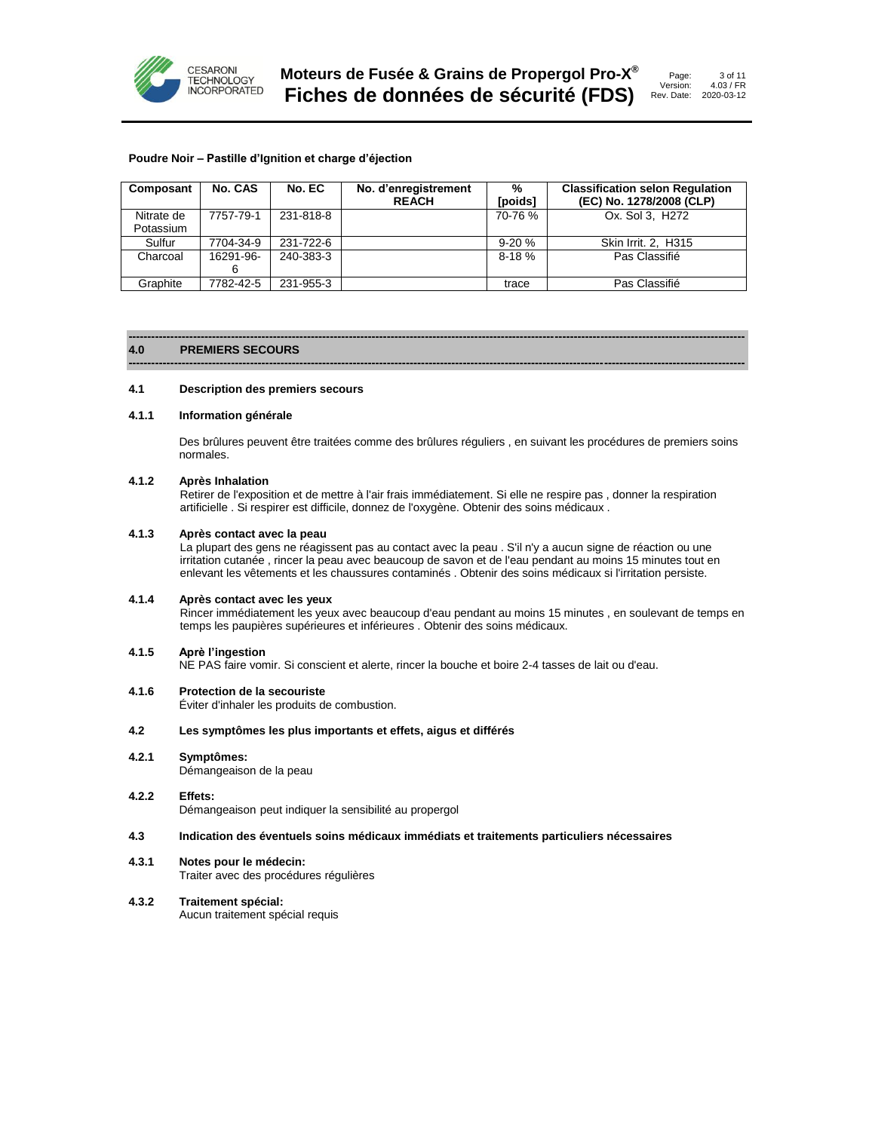

# **Poudre Noir – Pastille d'Ignition et charge d'éjection**

| Composant  | No. CAS   | No. EC    | No. d'enregistrement<br><b>REACH</b> | %<br>[poids] | <b>Classification selon Regulation</b><br>(EC) No. 1278/2008 (CLP) |
|------------|-----------|-----------|--------------------------------------|--------------|--------------------------------------------------------------------|
| Nitrate de | 7757-79-1 | 231-818-8 |                                      | 70-76 %      | Ox. Sol 3. H <sub>272</sub>                                        |
| Potassium  |           |           |                                      |              |                                                                    |
| Sulfur     | 7704-34-9 | 231-722-6 |                                      | $9-20%$      | Skin Irrit. 2, H315                                                |
| Charcoal   | 16291-96- | 240-383-3 |                                      | $8-18%$      | Pas Classifié                                                      |
|            | 6         |           |                                      |              |                                                                    |
| Graphite   | 7782-42-5 | 231-955-3 |                                      | trace        | Pas Classifié                                                      |

**------------------------------------------------------------------------------------------------------------------------------------------------------------------**

#### **------------------------------------------------------------------------------------------------------------------------------------------------------------------ 4.0 PREMIERS SECOURS**

#### **4.1 Description des premiers secours**

#### **4.1.1 Information générale**

Des brûlures peuvent être traitées comme des brûlures réguliers , en suivant les procédures de premiers soins normales.

#### **4.1.2 Après Inhalation**

Retirer de l'exposition et de mettre à l'air frais immédiatement. Si elle ne respire pas , donner la respiration artificielle . Si respirer est difficile, donnez de l'oxygène. Obtenir des soins médicaux .

#### **4.1.3 Après contact avec la peau**

La plupart des gens ne réagissent pas au contact avec la peau . S'il n'y a aucun signe de réaction ou une irritation cutanée , rincer la peau avec beaucoup de savon et de l'eau pendant au moins 15 minutes tout en enlevant les vêtements et les chaussures contaminés . Obtenir des soins médicaux si l'irritation persiste.

#### **4.1.4 Après contact avec les yeux**

Rincer immédiatement les yeux avec beaucoup d'eau pendant au moins 15 minutes , en soulevant de temps en temps les paupières supérieures et inférieures . Obtenir des soins médicaux.

# **4.1.5 Aprè l'ingestion**

NE PAS faire vomir. Si conscient et alerte, rincer la bouche et boire 2-4 tasses de lait ou d'eau.

### **4.1.6 Protection de la secouriste**

Éviter d'inhaler les produits de combustion.

### **4.2 Les symptômes les plus importants et effets, aigus et différés**

**4.2.1 Symptômes:**

Démangeaison de la peau

# **4.2.2 Effets:**

Démangeaison peut indiquer la sensibilité au propergol

# **4.3 Indication des éventuels soins médicaux immédiats et traitements particuliers nécessaires**

#### **4.3.1 Notes pour le médecin:**

Traiter avec des procédures régulières

# **4.3.2 Traitement spécial:**

Aucun traitement spécial requis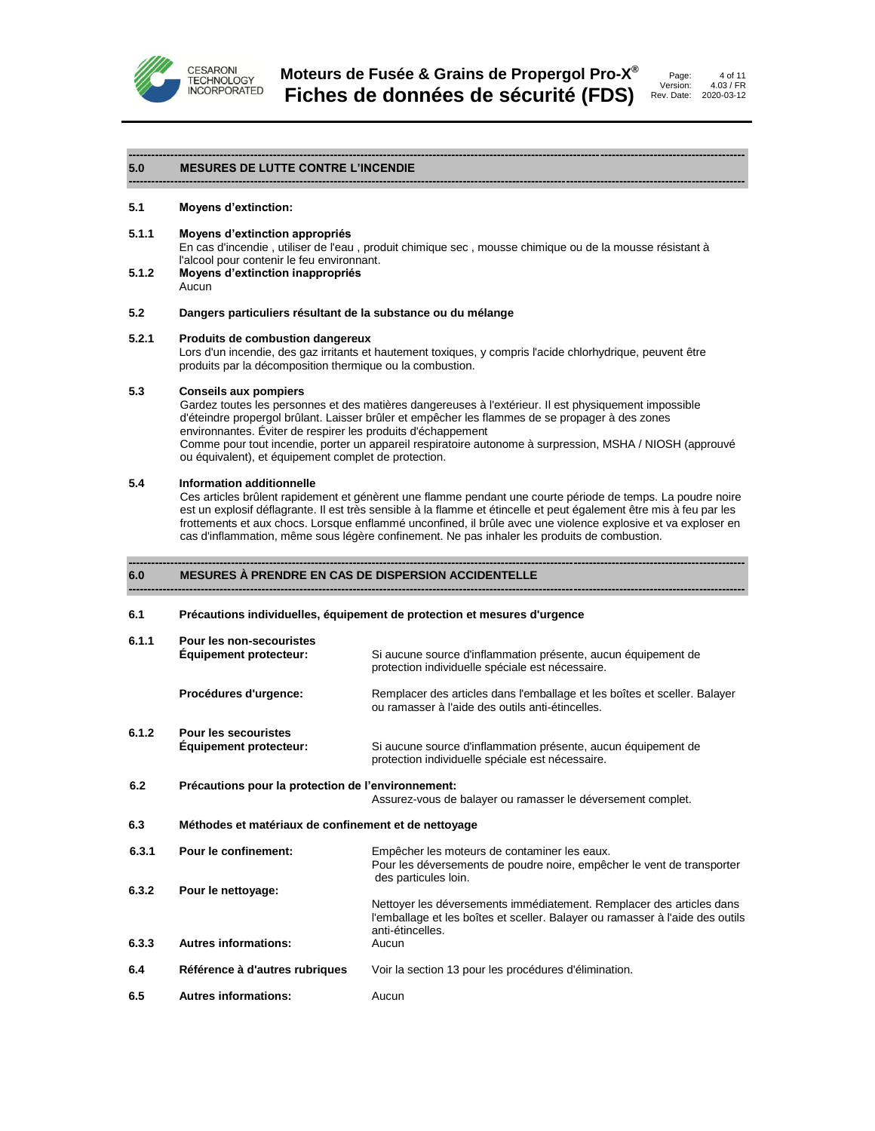



#### **------------------------------------------------------------------------------------------------------------------------------------------------------------------ 5.0 MESURES DE LUTTE CONTRE L'INCENDIE**

#### **5.1 Moyens d'extinction:**

**5.1.1 Moyens d'extinction appropriés**

En cas d'incendie , utiliser de l'eau , produit chimique sec , mousse chimique ou de la mousse résistant à l'alcool pour contenir le feu environnant.

**------------------------------------------------------------------------------------------------------------------------------------------------------------------**

- **5.1.2 Moyens d'extinction inappropriés**
	- Aucun

### **5.2 Dangers particuliers résultant de la substance ou du mélange**

#### **5.2.1 Produits de combustion dangereux**

Lors d'un incendie, des gaz irritants et hautement toxiques, y compris l'acide chlorhydrique, peuvent être produits par la décomposition thermique ou la combustion.

# **5.3 Conseils aux pompiers**

Gardez toutes les personnes et des matières dangereuses à l'extérieur. Il est physiquement impossible d'éteindre propergol brûlant. Laisser brûler et empêcher les flammes de se propager à des zones environnantes. Éviter de respirer les produits d'échappement

Comme pour tout incendie, porter un appareil respiratoire autonome à surpression, MSHA / NIOSH (approuvé ou équivalent), et équipement complet de protection.

#### **5.4 Information additionnelle**

Ces articles brûlent rapidement et génèrent une flamme pendant une courte période de temps. La poudre noire est un explosif déflagrante. Il est très sensible à la flamme et étincelle et peut également être mis à feu par les frottements et aux chocs. Lorsque enflammé unconfined, il brûle avec une violence explosive et va exploser en cas d'inflammation, même sous légère confinement. Ne pas inhaler les produits de combustion.

**------------------------------------------------------------------------------------------------------------------------------------------------------------------**

#### **------------------------------------------------------------------------------------------------------------------------------------------------------------------ 6.0 MESURES À PRENDRE EN CAS DE DISPERSION ACCIDENTELLE**

#### **6.1 Précautions individuelles, équipement de protection et mesures d'urgence**

| 6.1.1 | <b>Pour les non-secouristes</b><br><b>Equipement protecteur:</b> | Si aucune source d'inflammation présente, aucun équipement de<br>protection individuelle spéciale est nécessaire.                                                         |
|-------|------------------------------------------------------------------|---------------------------------------------------------------------------------------------------------------------------------------------------------------------------|
|       | Procédures d'urgence:                                            | Remplacer des articles dans l'emballage et les boîtes et sceller. Balayer<br>ou ramasser à l'aide des outils anti-étincelles.                                             |
| 6.1.2 | <b>Pour les secouristes</b><br><b>Equipement protecteur:</b>     | Si aucune source d'inflammation présente, aucun équipement de<br>protection individuelle spéciale est nécessaire.                                                         |
| 6.2   | Précautions pour la protection de l'environnement:               | Assurez-vous de balayer ou ramasser le déversement complet.                                                                                                               |
| 6.3   | Méthodes et matériaux de confinement et de nettoyage             |                                                                                                                                                                           |
| 6.3.1 | Pour le confinement:                                             | Empêcher les moteurs de contaminer les eaux.<br>Pour les déversements de poudre noire, empêcher le vent de transporter<br>des particules loin.                            |
| 6.3.2 | Pour le nettoyage:                                               | Nettoyer les déversements immédiatement. Remplacer des articles dans<br>l'emballage et les boîtes et sceller. Balayer ou ramasser à l'aide des outils<br>anti-étincelles. |
| 6.3.3 | <b>Autres informations:</b>                                      | Aucun                                                                                                                                                                     |
| 6.4   | Référence à d'autres rubriques                                   | Voir la section 13 pour les procédures d'élimination.                                                                                                                     |
| 6.5   | <b>Autres informations:</b>                                      | Aucun                                                                                                                                                                     |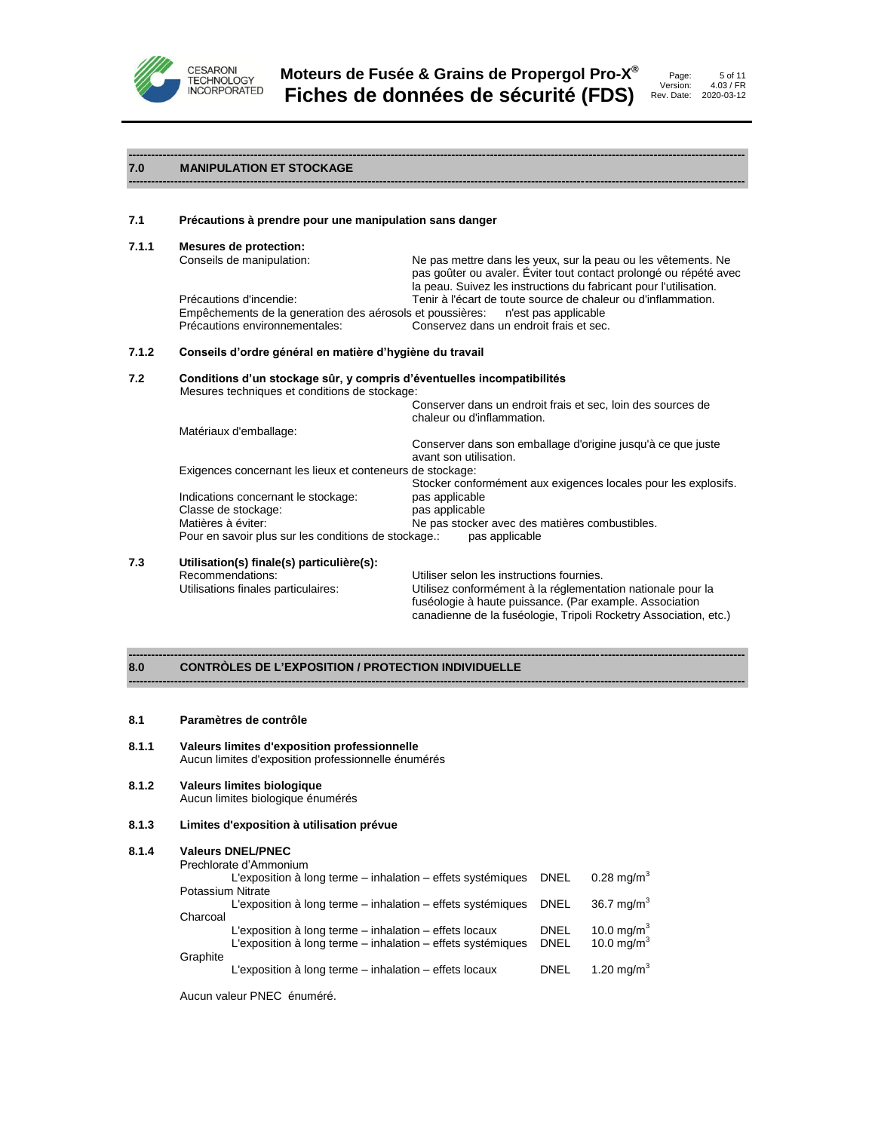

**------------------------------------------------------------------------------------------------------------------------------------------------------------------**



#### **7.0 MANIPULATION ET STOCKAGE**

#### **7.1 Précautions à prendre pour une manipulation sans danger**

**7.1.1 Mesures de protection:**

Ne pas mettre dans les yeux, sur la peau ou les vêtements. Ne pas goûter ou avaler. Éviter tout contact prolongé ou répété avec la peau. Suivez les instructions du fabricant pour l'utilisation. Précautions d'incendie: Tenir à l'écart de toute source de chaleur ou d'inflammation. Empêchements de la generation des aérosols et poussières: n'est pas applicable Précautions environnementales: Conservez dans un endroit frais et sec.

# **7.1.2 Conseils d'ordre général en matière d'hygiène du travail**

# **7.2 Conditions d'un stockage sûr, y compris d'éventuelles incompatibilités**

Mesures techniques et conditions de stockage:

|                                                           | Conserver dans un endroit frais et sec, loin des sources de<br>chaleur ou d'inflammation. |
|-----------------------------------------------------------|-------------------------------------------------------------------------------------------|
| Matériaux d'emballage:                                    |                                                                                           |
|                                                           | Conserver dans son emballage d'origine jusqu'à ce que juste<br>avant son utilisation.     |
| Exigences concernant les lieux et conteneurs de stockage: |                                                                                           |
|                                                           | Stocker conformément aux exigences locales pour les explosifs.                            |
| Indications concernant le stockage:                       | pas applicable                                                                            |
| Classe de stockage:                                       | pas applicable                                                                            |
| Matières à éviter:                                        | Ne pas stocker avec des matières combustibles.                                            |
| Pour en savoir plus sur les conditions de stockage.:      | pas applicable                                                                            |

**------------------------------------------------------------------------------------------------------------------------------------------------------------------**

**------------------------------------------------------------------------------------------------------------------------------------------------------------------**

# **7.3 Utilisation(s) finale(s) particulière(s):**

Recommendations: Utiliser selon les instructions fournies.<br>
Utilisations finales particulaires: Utilisez conformément à la réglementa Utilisez conformément à la réglementation nationale pour la fuséologie à haute puissance. (Par example. Association canadienne de la fuséologie, Tripoli Rocketry Association, etc.)

#### **8.0 CONTRÒLES DE L'EXPOSITION / PROTECTION INDIVIDUELLE**

#### **8.1 Paramètres de contrôle**

- **8.1.1 Valeurs limites d'exposition professionnelle** Aucun limites d'exposition professionnelle énumérés
- **8.1.2 Valeurs limites biologique** Aucun limites biologique énumérés
- **8.1.3 Limites d'exposition à utilisation prévue**

#### **8.1.4 Valeurs DNEL/PNEC**

|                          | Prechlorate d'Ammonium                                           |             |                          |
|--------------------------|------------------------------------------------------------------|-------------|--------------------------|
|                          | L'exposition à long terme – inhalation – effets systémiques DNEL |             | $0.28$ ma/m <sup>3</sup> |
| <b>Potassium Nitrate</b> |                                                                  |             |                          |
|                          | L'exposition à long terme – inhalation – effets systémiques DNEL |             | 36.7 mg/m <sup>3</sup>   |
| Charcoal                 |                                                                  |             |                          |
|                          | L'exposition à long terme – inhalation – effets locaux           | <b>DNEL</b> | 10.0 mg/m $3$            |
|                          | L'exposition à long terme – inhalation – effets systémiques      | <b>DNEL</b> | 10.0 mg/m <sup>3</sup>   |
| Graphite                 |                                                                  |             |                          |
|                          | L'exposition à long terme – inhalation – effets locaux           | <b>DNEL</b> | 1.20 mg/m <sup>3</sup>   |

Aucun valeur PNEC énuméré.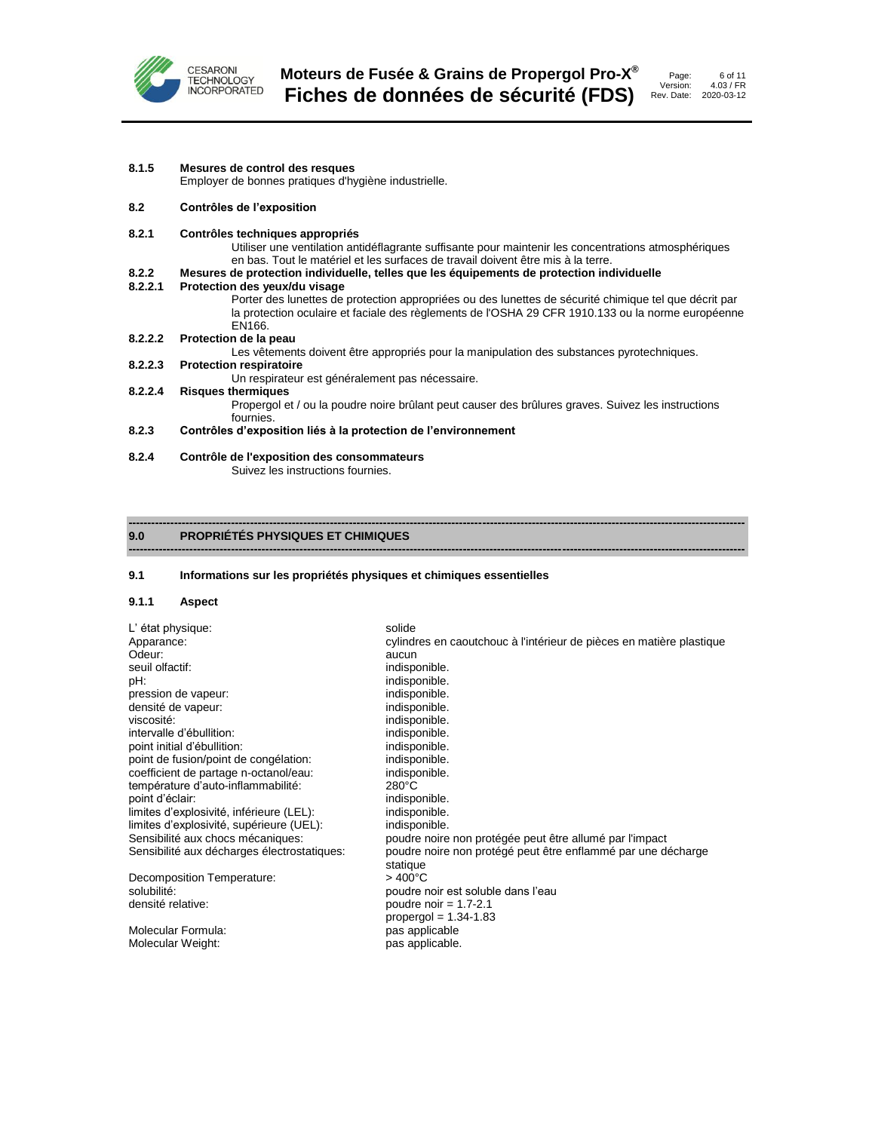

| 8.1.5 | Mesures de control des resques |  |
|-------|--------------------------------|--|
|-------|--------------------------------|--|

Employer de bonnes pratiques d'hygiène industrielle.

#### **8.2 Contrôles de l'exposition**

#### **8.2.1 Contrôles techniques appropriés**

Utiliser une ventilation antidéflagrante suffisante pour maintenir les concentrations atmosphériques en bas. Tout le matériel et les surfaces de travail doivent être mis à la terre.

#### **8.2.2 Mesures de protection individuelle, telles que les équipements de protection individuelle**

#### **8.2.2.1 Protection des yeux/du visage**

Porter des lunettes de protection appropriées ou des lunettes de sécurité chimique tel que décrit par la protection oculaire et faciale des règlements de l'OSHA 29 CFR 1910.133 ou la norme européenne EN166.

#### **8.2.2.2 Protection de la peau**

Les vêtements doivent être appropriés pour la manipulation des substances pyrotechniques.

#### **8.2.2.3 Protection respiratoire**

Un respirateur est généralement pas nécessaire.

# **8.2.2.4 Risques thermiques**

Propergol et / ou la poudre noire brûlant peut causer des brûlures graves. Suivez les instructions fournies.

### **8.2.3 Contrôles d'exposition liés à la protection de l'environnement**

**8.2.4 Contrôle de l'exposition des consommateurs**

Suivez les instructions fournies.

#### **------------------------------------------------------------------------------------------------------------------------------------------------------------------ 9.0 PROPRIÉTÉS PHYSIQUES ET CHIMIQUES**

#### **9.1 Informations sur les propriétés physiques et chimiques essentielles**

#### **9.1.1 Aspect**

| L'état physique:                            | solide                                                               |
|---------------------------------------------|----------------------------------------------------------------------|
| Apparance:                                  | cylindres en caoutchouc à l'intérieur de pièces en matière plastique |
| Odeur:                                      | aucun                                                                |
| seuil olfactif:                             | indisponible.                                                        |
| pH.                                         | indisponible.                                                        |
| pression de vapeur:                         | indisponible.                                                        |
| densité de vapeur:                          | indisponible.                                                        |
| viscosité:                                  | indisponible.                                                        |
| intervalle d'ébullition:                    | indisponible.                                                        |
| point initial d'ébullition:                 | indisponible.                                                        |
| point de fusion/point de congélation:       | indisponible.                                                        |
| coefficient de partage n-octanol/eau:       | indisponible.                                                        |
| température d'auto-inflammabilité:          | $280^{\circ}$ C                                                      |
| point d'éclair:                             | indisponible.                                                        |
| limites d'explosivité, inférieure (LEL):    | indisponible.                                                        |
| limites d'explosivité, supérieure (UEL):    | indisponible.                                                        |
| Sensibilité aux chocs mécaniques:           | poudre noire non protégée peut être allumé par l'impact              |
| Sensibilité aux décharges électrostatiques: | poudre noire non protégé peut être enflammé par une décharge         |
|                                             | statique                                                             |
| Decomposition Temperature:                  | $>400^{\circ}$ C                                                     |
| solubilité:                                 | poudre noir est soluble dans l'eau                                   |
| densité relative:                           | poudre noir = $1.7 - 2.1$                                            |
|                                             | propergol = $1.34-1.83$                                              |
| Molecular Formula:                          | pas applicable                                                       |
| Molecular Weight:                           | pas applicable.                                                      |

**------------------------------------------------------------------------------------------------------------------------------------------------------------------**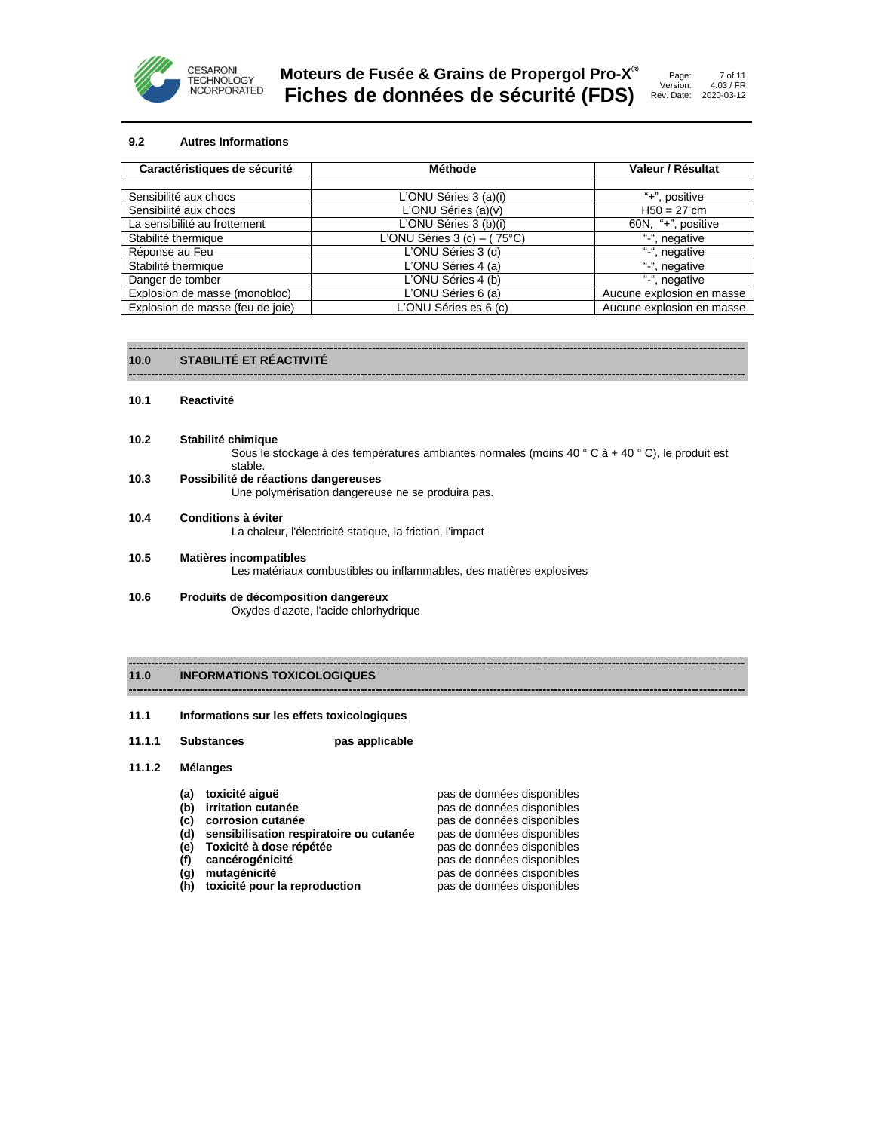

7 of 11

### **9.2 Autres Informations**

| Caractéristiques de sécurité     | Méthode                       | Valeur / Résultat         |
|----------------------------------|-------------------------------|---------------------------|
|                                  |                               |                           |
| Sensibilité aux chocs            | L'ONU Séries 3 (a)(i)         | "+", positive             |
| Sensibilité aux chocs            | L'ONU Séries (a)(v)           | $H50 = 27$ cm             |
| La sensibilité au frottement     | L'ONU Séries 3 (b)(i)         | 60N, "+", positive        |
| Stabilité thermique              | L'ONU Séries $3$ (c) – (75°C) | "-", negative             |
| Réponse au Feu                   | L'ONU Séries 3 (d)            | "-", negative             |
| Stabilité thermique              | L'ONU Séries 4 (a)            | "-", negative             |
| Danger de tomber                 | L'ONU Séries 4 (b)            | ", negative               |
| Explosion de masse (monobloc)    | L'ONU Séries 6 (a)            | Aucune explosion en masse |
| Explosion de masse (feu de joie) | L'ONU Séries es 6 (c)         | Aucune explosion en masse |

**------------------------------------------------------------------------------------------------------------------------------------------------------------------**

**------------------------------------------------------------------------------------------------------------------------------------------------------------------**

#### **------------------------------------------------------------------------------------------------------------------------------------------------------------------ 10.0 STABILITÉ ET RÉACTIVITÉ**

#### **10.1 Reactivité**

**10.2 Stabilité chimique**

Sous le stockage à des températures ambiantes normales (moins 40 ° C à + 40 ° C), le produit est stable.

- **10.3 Possibilité de réactions dangereuses** Une polymérisation dangereuse ne se produira pas.
- **10.4 Conditions à éviter**

La chaleur, l'électricité statique, la friction, l'impact

- **10.5 Matières incompatibles** Les matériaux combustibles ou inflammables, des matières explosives
- **10.6 Produits de décomposition dangereux** Oxydes d'azote, l'acide chlorhydrique

#### **------------------------------------------------------------------------------------------------------------------------------------------------------------------ 11.0 INFORMATIONS TOXICOLOGIQUES**

#### **11.1 Informations sur les effets toxicologiques**

**11.1.1 Substances pas applicable**

#### **11.1.2 Mélanges**

- 
- 
- 
- 
- $(e)$  Toxicité à dose répétée
- 
- 
- $(h)$  toxicité pour la reproduction

**(a) toxicité aiguë pas de données disponibles**<br> **(b) irritation cutanée pas de données disponibles irritation cutanée**<br> **corrosion cutanée** pas de données disponibles<br>
pas de données disponibles **(c) corrosion cutanée pas de données disponibles (d) sensibilisation respiratoire ou cutanée** pas de données disponibles **(f) cancérogénicité** pas de données disponibles **(g) mutagénicité** pas de données disponibles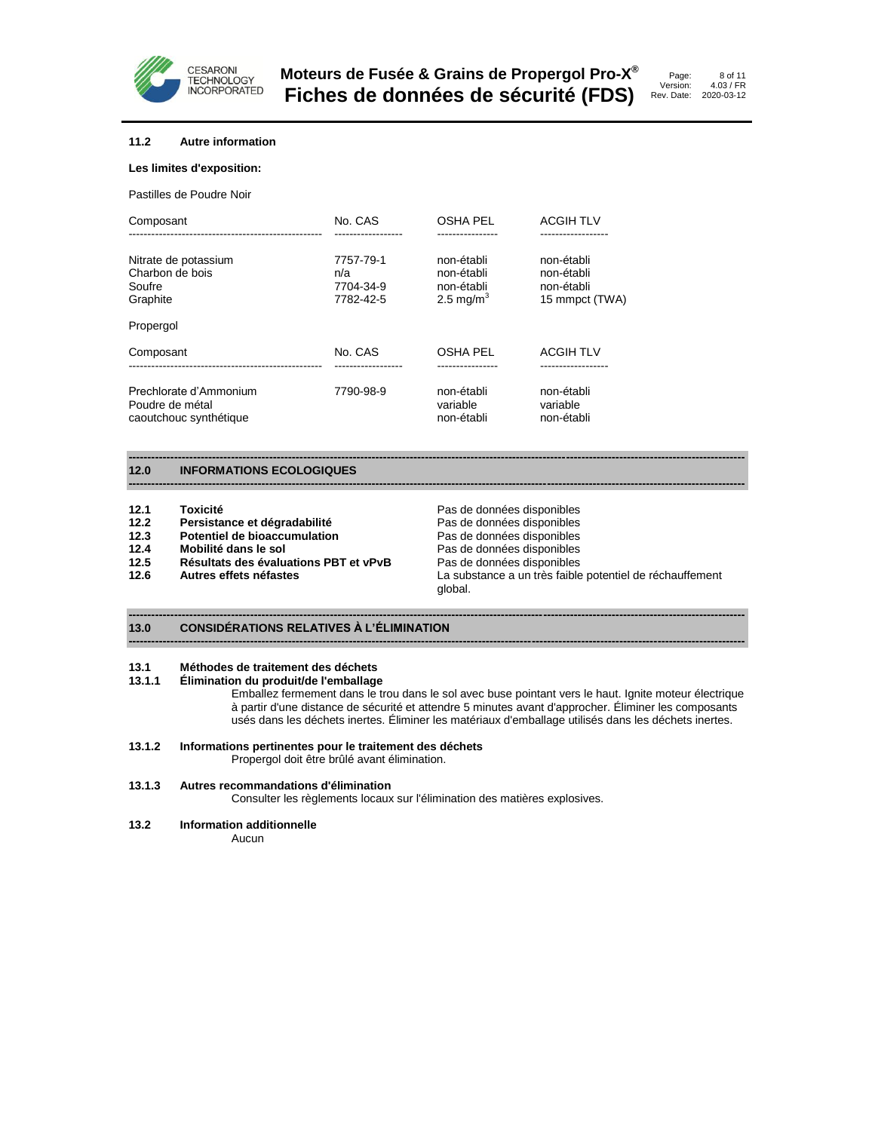

#### **11.2 Autre information**

#### **Les limites d'exposition:**

Pastilles de Poudre Noir

| Composant                                                           | No. CAS                                    | OSHA PEL                                                        | <b>ACGIH TLV</b>                                         |
|---------------------------------------------------------------------|--------------------------------------------|-----------------------------------------------------------------|----------------------------------------------------------|
| Nitrate de potassium<br>Charbon de bois<br>Soufre<br>Graphite       | 7757-79-1<br>n/a<br>7704-34-9<br>7782-42-5 | non-établi<br>non-établi<br>non-établi<br>2.5 mg/m <sup>3</sup> | non-établi<br>non-établi<br>non-établi<br>15 mmpct (TWA) |
| Propergol                                                           |                                            |                                                                 |                                                          |
| Composant                                                           | No. CAS                                    | OSHA PEL                                                        | <b>ACGIH TLV</b>                                         |
| Prechlorate d'Ammonium<br>Poudre de métal<br>caoutchouc synthétique | 7790-98-9                                  | non-établi<br>variable<br>non-établi                            | non-établi<br>variable<br>non-établi                     |

#### **12.0 INFORMATIONS ECOLOGIQUES**

- 12.1 **Toxicité 12.1 Toxicité Pas de données disponibles**
- 
- **Potentiel de bioaccumulation**
- 12.4 Mobilité dans le sol **Pas de données disponibles**
- **12.5 Résultats des évaluations PBT et vPvB** Pas de données disponibles
- 

**12.2 Persistance et dégradabilité a la proponce de la proponduiste de la proponce de la proponduiste de la proponduiste de la proponduiste de la proponduiste de la proponduiste de la proponduiste de la proponduiste de l 12.6 Autres effets néfastes** La substance a un très faible potentiel de réchauffement global.

8 of 11 4.03 / FR 2020-03-12

### **13.0 CONSIDÉRATIONS RELATIVES À L'ÉLIMINATION**

# **13.1 Méthodes de traitement des déchets**

**13.1.1 Élimination du produit/de l'emballage**

Emballez fermement dans le trou dans le sol avec buse pointant vers le haut. Ignite moteur électrique à partir d'une distance de sécurité et attendre 5 minutes avant d'approcher. Éliminer les composants usés dans les déchets inertes. Éliminer les matériaux d'emballage utilisés dans les déchets inertes.

#### **13.1.2 Informations pertinentes pour le traitement des déchets**

Propergol doit être brûlé avant élimination.

# **13.1.3 Autres recommandations d'élimination**

Consulter les règlements locaux sur l'élimination des matières explosives.

**------------------------------------------------------------------------------------------------------------------------------------------------------------------**

**------------------------------------------------------------------------------------------------------------------------------------------------------------------**

**------------------------------------------------------------------------------------------------------------------------------------------------------------------**

**------------------------------------------------------------------------------------------------------------------------------------------------------------------**

#### **13.2 Information additionnelle**

Aucun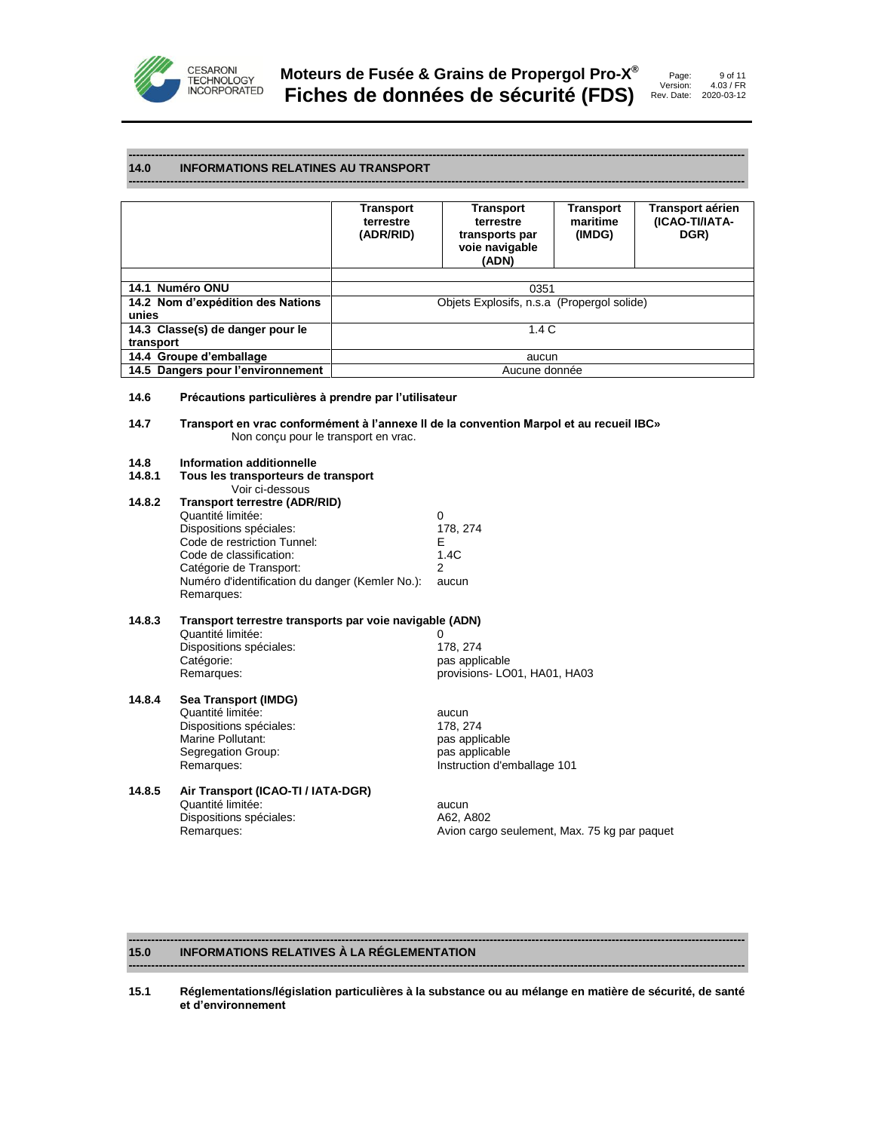

#### **14.0 INFORMATIONS RELATINES AU TRANSPORT**

|                                   | Transport<br>terrestre<br>(ADR/RID) | <b>Transport</b><br>terrestre<br>transports par<br>voie navigable<br>(ADN) | <b>Transport</b><br>maritime<br>(IMDG) | Transport aérien<br>(ICAO-TI/IATA-<br>DGR) |
|-----------------------------------|-------------------------------------|----------------------------------------------------------------------------|----------------------------------------|--------------------------------------------|
|                                   |                                     |                                                                            |                                        |                                            |
| 14.1 Numéro ONU                   |                                     | 0351                                                                       |                                        |                                            |
| 14.2 Nom d'expédition des Nations |                                     | Objets Explosifs, n.s.a (Propergol solide)                                 |                                        |                                            |
| unies                             |                                     |                                                                            |                                        |                                            |
| 14.3 Classe(s) de danger pour le  |                                     | 1.4C                                                                       |                                        |                                            |
| transport                         |                                     |                                                                            |                                        |                                            |
| 14.4 Groupe d'emballage           |                                     | aucun                                                                      |                                        |                                            |
| 14.5 Dangers pour l'environnement |                                     | Aucune donnée                                                              |                                        |                                            |

**------------------------------------------------------------------------------------------------------------------------------------------------------------------**

**------------------------------------------------------------------------------------------------------------------------------------------------------------------**

# **14.6 Précautions particulières à prendre par l'utilisateur**

**14.7 Transport en vrac conformément à l'annexe II de la convention Marpol et au recueil IBC»** Non conçu pour le transport en vrac.

#### **14.8 Information additionnelle**

| 14.8.1 | Tous les transporteurs de transport                     |                             |
|--------|---------------------------------------------------------|-----------------------------|
|        | Voir ci-dessous                                         |                             |
| 14.8.2 | <b>Transport terrestre (ADR/RID)</b>                    |                             |
|        | Quantité limitée:                                       | 0                           |
|        | Dispositions spéciales:                                 | 178, 274                    |
|        | Code de restriction Tunnel:                             | Е                           |
|        | Code de classification:                                 | 1.4C                        |
|        | Catégorie de Transport:                                 | 2                           |
|        | Numéro d'identification du danger (Kemler No.):         | aucun                       |
|        | Remarques:                                              |                             |
| 14.8.3 | Transport terrestre transports par voie navigable (ADN) |                             |
|        | Quantité limitée:                                       | 0                           |
|        | Dispositions spéciales:                                 | 178, 274                    |
|        | Catégorie:                                              | pas applicable              |
|        | Remarques:                                              | provisions-LO01, HA01, HA03 |
| 14.8.4 | Sea Transport (IMDG)                                    |                             |
|        | Quantité limitée:                                       | aucun                       |
|        | Dispositions spéciales:                                 | 178, 274                    |
|        | Marine Pollutant:                                       | pas applicable              |
|        | Segregation Group:                                      | pas applicable              |
|        | Remarques:                                              | Instruction d'emballage 101 |
|        |                                                         |                             |

# **14.8.5 Air Transport (ICAO-TI / IATA-DGR)** Quantité limitée:<br>
Dispositions spéciales:<br>
A62, A802 Dispositions spéciales:<br>Remarques:

Avion cargo seulement, Max. 75 kg par paquet

#### **------------------------------------------------------------------------------------------------------------------------------------------------------------------ 15.0 INFORMATIONS RELATIVES À LA RÉGLEMENTATION**

**15.1 Réglementations/législation particulières à la substance ou au mélange en matière de sécurité, de santé et d'environnement**

**------------------------------------------------------------------------------------------------------------------------------------------------------------------**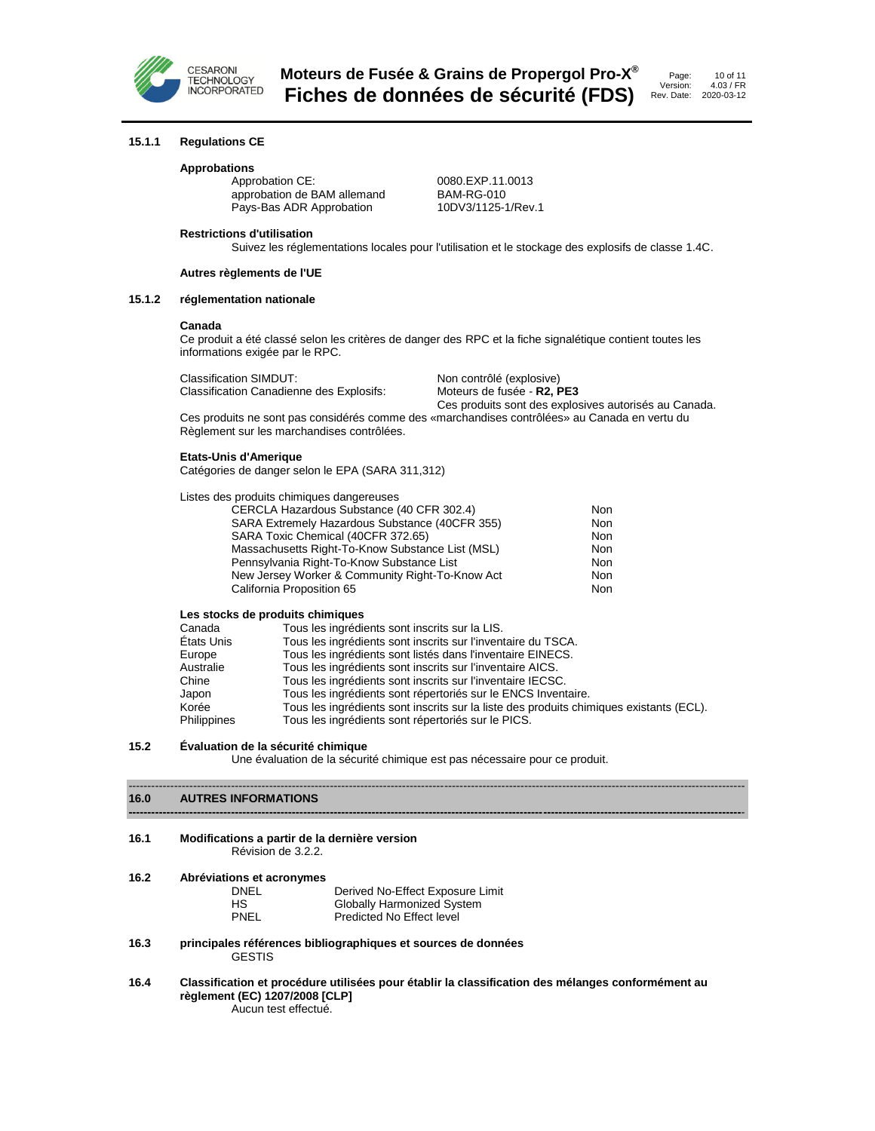

### **15.1.1 Regulations CE**

#### **Approbations**

Approbation CE: 0080.EXP.11.0013<br>approbation de BAM allemand BAM-RG-010 approbation de BAM allemand<br>
Pays-Bas ADR Approbation 
20DV3/1125-1/Rev.1 Pays-Bas ADR Approbation

# **Restrictions d'utilisation**

Suivez les réglementations locales pour l'utilisation et le stockage des explosifs de classe 1.4C.

#### **Autres règlements de l'UE**

# **15.1.2 réglementation nationale**

#### **Canada**

Ce produit a été classé selon les critères de danger des RPC et la fiche signalétique contient toutes les informations exigée par le RPC.

Classification SIMDUT:<br>Classification Canadienne des Explosifs: Moteurs de fusée - R2, PE3 **Classification Canadienne des Explosifs:** 

Ces produits sont des explosives autorisés au Canada. Ces produits ne sont pas considérés comme des «marchandises contrôlées» au Canada en vertu du Règlement sur les marchandises contrôlées.

#### **Etats-Unis d'Amerique**

Catégories de danger selon le EPA (SARA 311,312)

#### Listes des produits chimiques dangereuses

| CERCLA Hazardous Substance (40 CFR 302.4)        | Non        |
|--------------------------------------------------|------------|
| SARA Extremely Hazardous Substance (40CFR 355)   | <b>Non</b> |
| SARA Toxic Chemical (40CFR 372.65)               | <b>Non</b> |
| Massachusetts Right-To-Know Substance List (MSL) | <b>Non</b> |
| Pennsylvania Right-To-Know Substance List        | <b>Non</b> |
| New Jersey Worker & Community Right-To-Know Act  | <b>Non</b> |
| California Proposition 65                        | <b>Non</b> |

#### **Les stocks de produits chimiques**

| Canada             | Tous les ingrédients sont inscrits sur la LIS.                                          |
|--------------------|-----------------------------------------------------------------------------------------|
| États Unis         | Tous les ingrédients sont inscrits sur l'inventaire du TSCA.                            |
| Europe             | Tous les ingrédients sont listés dans l'inventaire EINECS.                              |
| Australie          | Tous les ingrédients sont inscrits sur l'inventaire AICS.                               |
| Chine              | Tous les ingrédients sont inscrits sur l'inventaire IECSC.                              |
| Japon              | Tous les ingrédients sont répertoriés sur le ENCS Inventaire.                           |
| Korée              | Tous les ingrédients sont inscrits sur la liste des produits chimiques existants (ECL). |
| <b>Philippines</b> | Tous les ingrédients sont répertoriés sur le PICS.                                      |

#### **15.2 Évaluation de la sécurité chimique**

Une évaluation de la sécurité chimique est pas nécessaire pour ce produit.

------------------------------------------------------------------------------------------------------------------------------------------------------------------

#### **16.0 AUTRES INFORMATIONS -----------------------------------------------------------------------------------------------------------------------------------------------------------------**-

**16.2** 

# **16.1 Modifications a partir de la dernière version**

Révision de 3.2.2.

| Abréviations et acronymes |                                   |
|---------------------------|-----------------------------------|
| DNEL                      | Derived No-Effect Exposure Limit  |
| HS.                       | <b>Globally Harmonized System</b> |
| PNEL                      | Predicted No Effect level         |

**16.3 principales références bibliographiques et sources de données** GESTIS

#### **16.4 Classification et procédure utilisées pour établir la classification des mélanges conformément au règlement (EC) 1207/2008 [CLP]** Aucun test effectué.